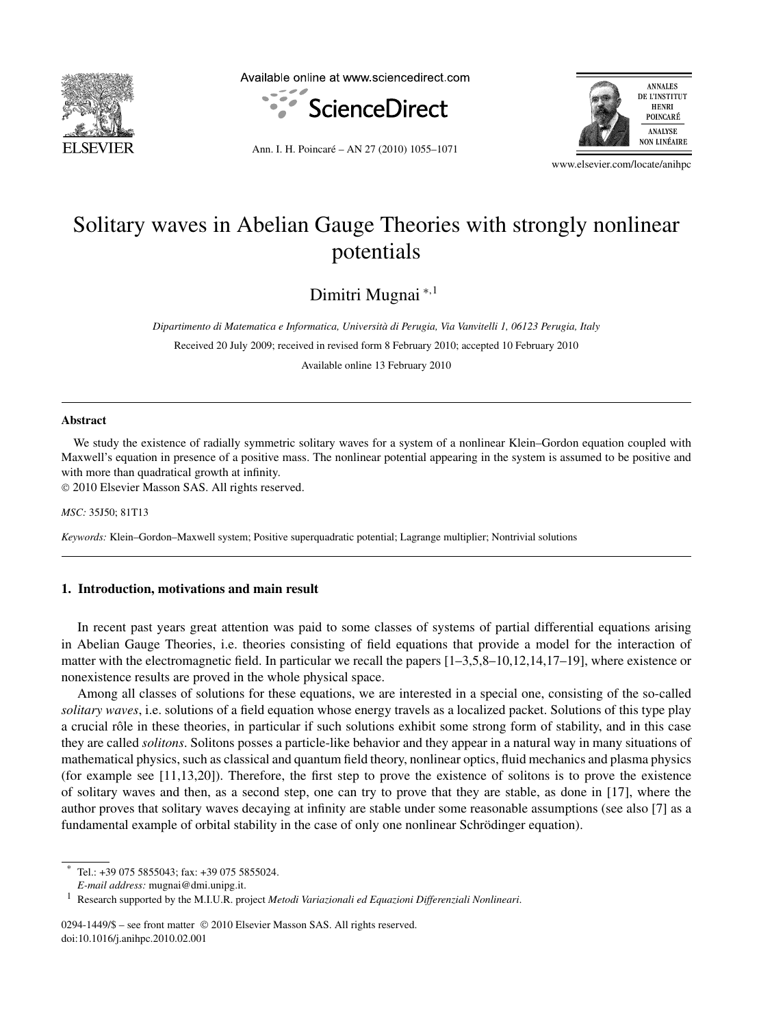

Available online at www.sciencedirect.com





Ann. I. H. Poincaré – AN 27 (2010) 1055–1071

www.elsevier.com/locate/anihpc

# Solitary waves in Abelian Gauge Theories with strongly nonlinear potentials

Dimitri Mugnai <sup>∗</sup>*,*<sup>1</sup>

*Dipartimento di Matematica e Informatica, Università di Perugia, Via Vanvitelli 1, 06123 Perugia, Italy* Received 20 July 2009; received in revised form 8 February 2010; accepted 10 February 2010 Available online 13 February 2010

#### **Abstract**

We study the existence of radially symmetric solitary waves for a system of a nonlinear Klein–Gordon equation coupled with Maxwell's equation in presence of a positive mass. The nonlinear potential appearing in the system is assumed to be positive and with more than quadratical growth at infinity.

© 2010 Elsevier Masson SAS. All rights reserved.

*MSC:* 35J50; 81T13

*Keywords:* Klein–Gordon–Maxwell system; Positive superquadratic potential; Lagrange multiplier; Nontrivial solutions

#### **1. Introduction, motivations and main result**

In recent past years great attention was paid to some classes of systems of partial differential equations arising in Abelian Gauge Theories, i.e. theories consisting of field equations that provide a model for the interaction of matter with the electromagnetic field. In particular we recall the papers  $[1-3,5,8-10,12,14,17-19]$ , where existence or nonexistence results are proved in the whole physical space.

Among all classes of solutions for these equations, we are interested in a special one, consisting of the so-called *solitary waves*, i.e. solutions of a field equation whose energy travels as a localized packet. Solutions of this type play a crucial rôle in these theories, in particular if such solutions exhibit some strong form of stability, and in this case they are called *solitons*. Solitons posses a particle-like behavior and they appear in a natural way in many situations of mathematical physics, such as classical and quantum field theory, nonlinear optics, fluid mechanics and plasma physics (for example see [11,13,20]). Therefore, the first step to prove the existence of solitons is to prove the existence of solitary waves and then, as a second step, one can try to prove that they are stable, as done in [17], where the author proves that solitary waves decaying at infinity are stable under some reasonable assumptions (see also [7] as a fundamental example of orbital stability in the case of only one nonlinear Schrödinger equation).

Tel.: +39 075 5855043; fax: +39 075 5855024.

*E-mail address:* mugnai@dmi.unipg.it.

<sup>1</sup> Research supported by the M.I.U.R. project *Metodi Variazionali ed Equazioni Differenziali Nonlineari*.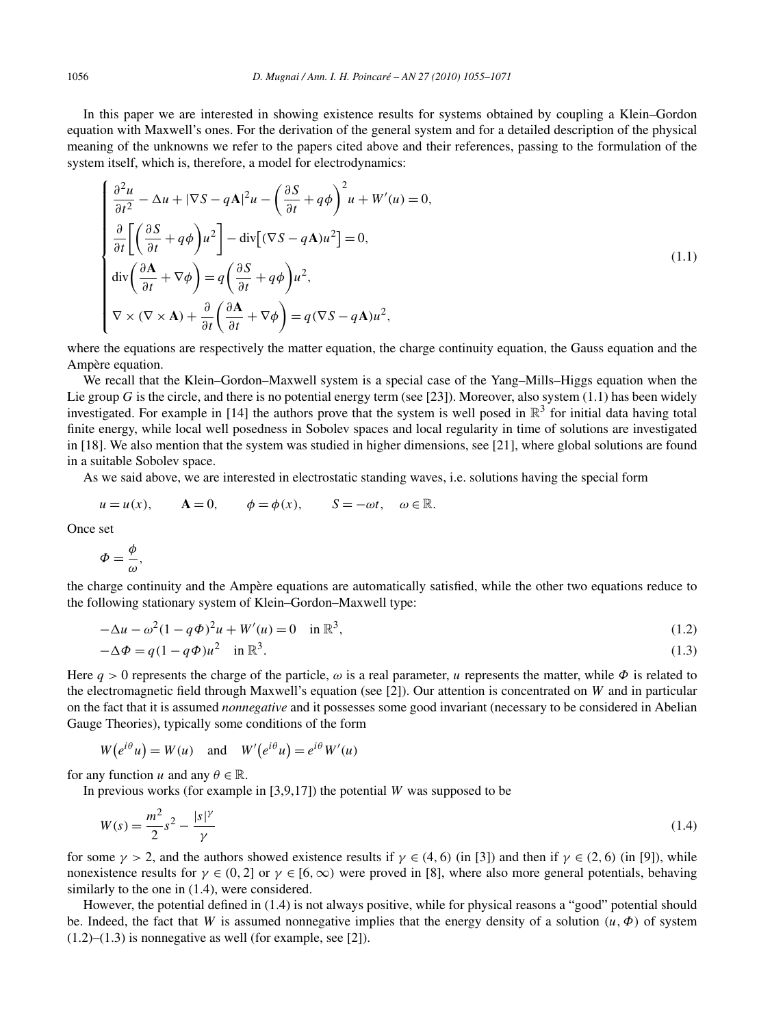In this paper we are interested in showing existence results for systems obtained by coupling a Klein–Gordon equation with Maxwell's ones. For the derivation of the general system and for a detailed description of the physical meaning of the unknowns we refer to the papers cited above and their references, passing to the formulation of the system itself, which is, therefore, a model for electrodynamics:

$$
\begin{cases}\n\frac{\partial^2 u}{\partial t^2} - \Delta u + |\nabla S - q\mathbf{A}|^2 u - \left(\frac{\partial S}{\partial t} + q\phi\right)^2 u + W'(u) = 0, \\
\frac{\partial}{\partial t} \left[\left(\frac{\partial S}{\partial t} + q\phi\right) u^2\right] - \text{div}\left[(\nabla S - q\mathbf{A})u^2\right] = 0, \\
\text{div}\left(\frac{\partial \mathbf{A}}{\partial t} + \nabla \phi\right) = q\left(\frac{\partial S}{\partial t} + q\phi\right) u^2, \\
\nabla \times (\nabla \times \mathbf{A}) + \frac{\partial}{\partial t} \left(\frac{\partial \mathbf{A}}{\partial t} + \nabla \phi\right) = q(\nabla S - q\mathbf{A})u^2,\n\end{cases} \tag{1.1}
$$

where the equations are respectively the matter equation, the charge continuity equation, the Gauss equation and the Ampère equation.

We recall that the Klein–Gordon–Maxwell system is a special case of the Yang–Mills–Higgs equation when the Lie group *G* is the circle, and there is no potential energy term (see [23]). Moreover, also system (1.1) has been widely investigated. For example in [14] the authors prove that the system is well posed in  $\mathbb{R}^3$  for initial data having total finite energy, while local well posedness in Sobolev spaces and local regularity in time of solutions are investigated in [18]. We also mention that the system was studied in higher dimensions, see [21], where global solutions are found in a suitable Sobolev space.

As we said above, we are interested in electrostatic standing waves, i.e. solutions having the special form

$$
u = u(x)
$$
,  $\mathbf{A} = 0$ ,  $\phi = \phi(x)$ ,  $S = -\omega t$ ,  $\omega \in \mathbb{R}$ .

Once set

$$
\Phi = \frac{\phi}{\omega},
$$

the charge continuity and the Ampère equations are automatically satisfied, while the other two equations reduce to the following stationary system of Klein–Gordon–Maxwell type:

$$
-\Delta u - \omega^2 (1 - q\Phi)^2 u + W'(u) = 0 \quad \text{in } \mathbb{R}^3,
$$
\n(1.2)

$$
-\Delta \Phi = q(1 - q\Phi)u^2 \quad \text{in } \mathbb{R}^3. \tag{1.3}
$$

Here  $q > 0$  represents the charge of the particle,  $\omega$  is a real parameter, *u* represents the matter, while  $\Phi$  is related to the electromagnetic field through Maxwell's equation (see [2]). Our attention is concentrated on *W* and in particular on the fact that it is assumed *nonnegative* and it possesses some good invariant (necessary to be considered in Abelian Gauge Theories), typically some conditions of the form

$$
W(e^{i\theta}u) = W(u)
$$
 and  $W'(e^{i\theta}u) = e^{i\theta}W'(u)$ 

for any function *u* and any  $\theta \in \mathbb{R}$ .

In previous works (for example in [3,9,17]) the potential *W* was supposed to be

$$
W(s) = \frac{m^2}{2}s^2 - \frac{|s|^\gamma}{\gamma} \tag{1.4}
$$

for some  $\gamma > 2$ , and the authors showed existence results if  $\gamma \in (4, 6)$  (in [3]) and then if  $\gamma \in (2, 6)$  (in [9]), while nonexistence results for  $\gamma \in (0, 2]$  or  $\gamma \in [6, \infty)$  were proved in [8], where also more general potentials, behaving similarly to the one in (1.4), were considered.

However, the potential defined in (1.4) is not always positive, while for physical reasons a "good" potential should be. Indeed, the fact that *W* is assumed nonnegative implies that the energy density of a solution *(u,Φ)* of system  $(1.2)$ – $(1.3)$  is nonnegative as well (for example, see [2]).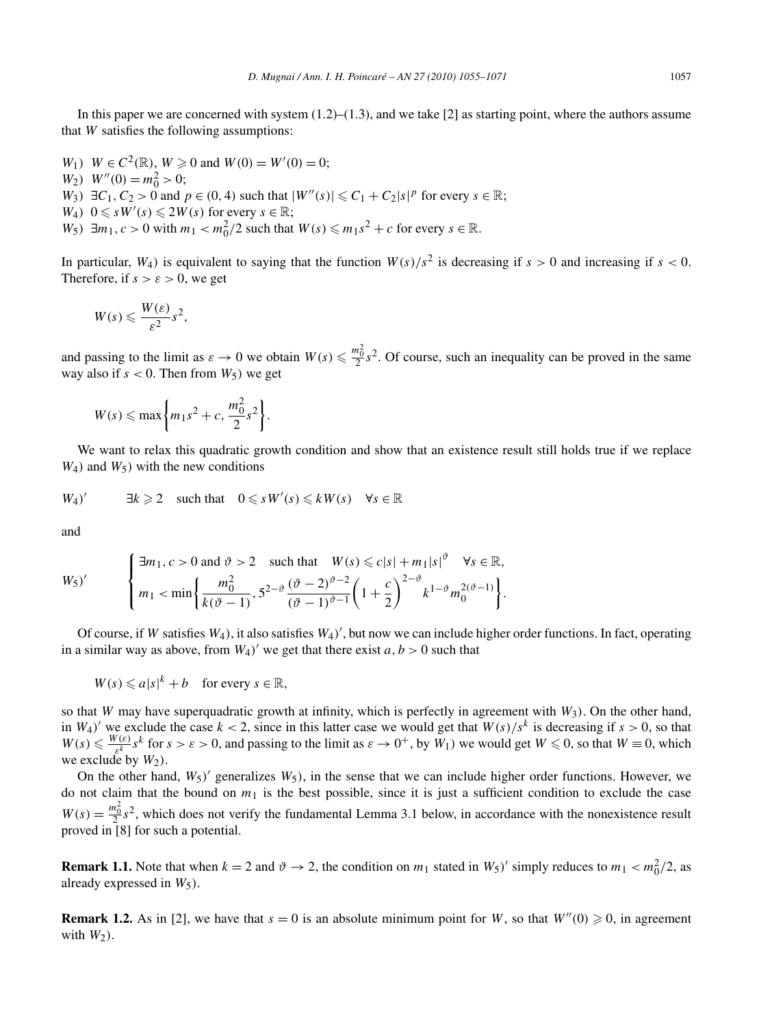In this paper we are concerned with system  $(1.2)$ – $(1.3)$ , and we take [2] as starting point, where the authors assume that *W* satisfies the following assumptions:

- *W*<sub>1</sub>*W*  $\in C^2(\mathbb{R})$ ,  $W \ge 0$  and  $W(0) = W'(0) = 0$ ;
- $W_2$ *)*  $W''(0) = m_0^2 > 0;$
- *W*<sub>3</sub>*)* ∃*C*<sub>1</sub>*, C*<sub>2</sub> > 0 and *p* ∈ (0*,* 4*)* such that  $|W''(s)| \le C_1 + C_2 |s|^p$  for every *s* ∈ ℝ;
- *W*<sub>4</sub>*)*  $0 \le sW'(s) \le 2W(s)$  for every  $s \in \mathbb{R}$ ;
- *W*<sub>5</sub>*)* ∃*m*<sub>1</sub>*, c* > 0 with *m*<sub>1</sub> < *m*<sub>0</sub><sup>2</sup>/2 such that *W*(*s*) ≤ *m*<sub>1</sub>*s*<sup>2</sup> + *c* for every *s* ∈ R.

In particular,  $W_4$ ) is equivalent to saying that the function  $W(s)/s^2$  is decreasing if  $s > 0$  and increasing if  $s < 0$ . Therefore, if  $s > \varepsilon > 0$ , we get

$$
W(s) \leqslant \frac{W(\varepsilon)}{\varepsilon^2} s^2,
$$

and passing to the limit as  $\varepsilon \to 0$  we obtain  $W(s) \leq \frac{m_0^2}{2}s^2$ . Of course, such an inequality can be proved in the same way also if  $s < 0$ . Then from  $W_5$ ) we get

$$
W(s) \leqslant \max\bigg\{m_1s^2+c,\frac{m_0^2}{2}s^2\bigg\}.
$$

We want to relax this quadratic growth condition and show that an existence result still holds true if we replace *W*4*)* and *W*5*)* with the new conditions

$$
W_4)'
$$
  $\exists k \geq 2 \quad \text{such that} \quad 0 \leq s \, W'(s) \leq k \, W(s) \quad \forall s \in \mathbb{R}$ 

and

$$
W_5)'\qquad \begin{cases} \exists m_1, c > 0 \text{ and } \vartheta > 2 \quad \text{such that} \quad W(s) \leq c|s| + m_1|s|^{\vartheta} \quad \forall s \in \mathbb{R}, \\ m_1 < \min\left\{\frac{m_0^2}{k(\vartheta - 1)}, 5^{2-\vartheta} \frac{(\vartheta - 2)^{\vartheta - 2}}{(\vartheta - 1)^{\vartheta - 1}} \left(1 + \frac{c}{2}\right)^{2-\vartheta} k^{1-\vartheta} m_0^{2(\vartheta - 1)}\right\}. \end{cases}
$$

Of course, if *W* satisfies *W*4*)*, it also satisfies *W*4*)* , but now we can include higher order functions. In fact, operating in a similar way as above, from  $W_4$ <sup> $\prime$ </sup> we get that there exist *a*, *b* > 0 such that

 $W(s) \leq a|s|^k + b$  for every  $s \in \mathbb{R}$ ,

so that *W* may have superquadratic growth at infinity, which is perfectly in agreement with *W*3*)*. On the other hand, in  $W_4$ <sup> $\prime$ </sup> we exclude the case  $k < 2$ , since in this latter case we would get that  $W(s)/s^k$  is decreasing if  $s > 0$ , so that  $W(s) \leq \frac{W(\varepsilon)}{\varepsilon^k} s^k$  for  $s > \varepsilon > 0$ , and passing to the limit as  $\varepsilon \to 0^+$ , by  $W_1$ ) we would get  $W \leq 0$ , so that  $W \equiv 0$ , which we exclude by  $W_2$ ).

On the other hand,  $W_5$ <sup>'</sup> generalizes  $W_5$ ), in the sense that we can include higher order functions. However, we do not claim that the bound on  $m_1$  is the best possible, since it is just a sufficient condition to exclude the case  $W(s) = \frac{m_0^2}{2} s^2$ , which does not verify the fundamental Lemma 3.1 below, in accordance with the nonexistence result proved in [8] for such a potential.

**Remark 1.1.** Note that when  $k = 2$  and  $\vartheta \to 2$ , the condition on  $m_1$  stated in  $W_5$ <sup> $\prime$ </sup> simply reduces to  $m_1 < m_0^2/2$ , as already expressed in *W*5*)*.

**Remark 1.2.** As in [2], we have that  $s = 0$  is an absolute minimum point for *W*, so that  $W''(0) \ge 0$ , in agreement with  $W_2$ ).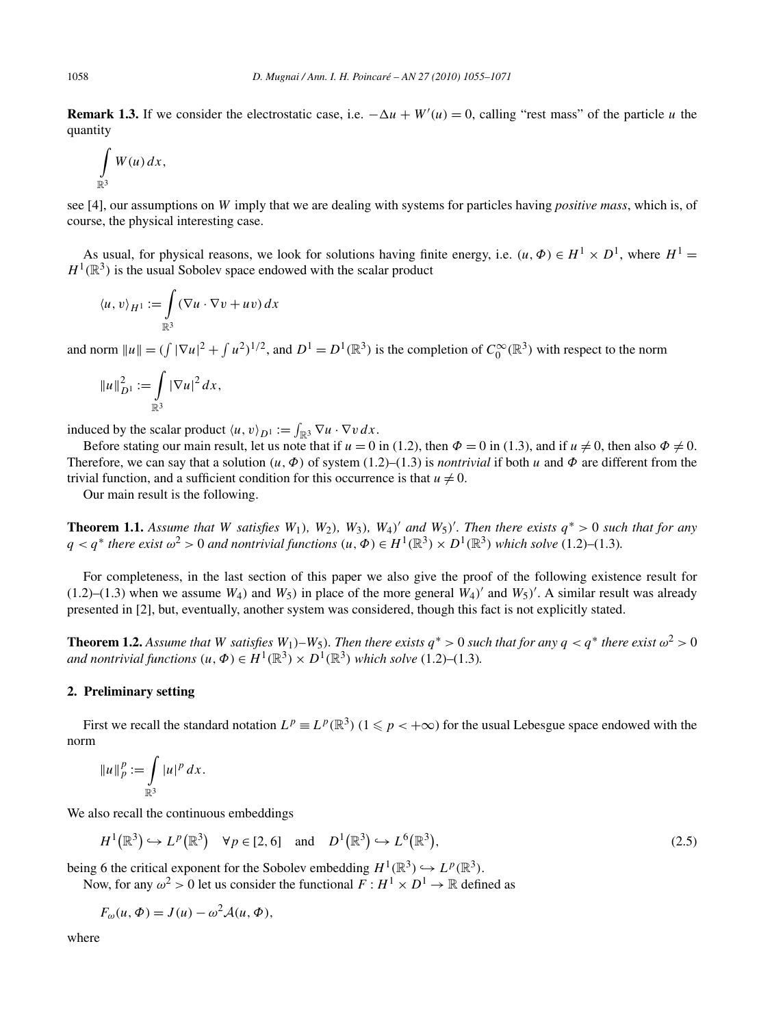**Remark 1.3.** If we consider the electrostatic case, i.e.  $-\Delta u + W'(u) = 0$ , calling "rest mass" of the particle *u* the quantity

$$
\int\limits_{\mathbb{R}^3} W(u)\,dx,
$$

see [4], our assumptions on *W* imply that we are dealing with systems for particles having *positive mass*, which is, of course, the physical interesting case.

As usual, for physical reasons, we look for solutions having finite energy, i.e.  $(u, \Phi) \in H^1 \times D^1$ , where  $H^1 =$  $H^1(\mathbb{R}^3)$  is the usual Sobolev space endowed with the scalar product

$$
\langle u, v \rangle_{H^1} := \int_{\mathbb{R}^3} (\nabla u \cdot \nabla v + uv) \, dx
$$

and norm  $||u|| = (\int |\nabla u|^2 + \int u^2)^{1/2}$ , and  $D^1 = D^1(\mathbb{R}^3)$  is the completion of  $C_0^{\infty}(\mathbb{R}^3)$  with respect to the norm

$$
||u||_{D^1}^2 := \int_{\mathbb{R}^3} |\nabla u|^2 dx,
$$

induced by the scalar product  $\langle u, v \rangle_{D^1} := \int_{\mathbb{R}^3} \nabla u \cdot \nabla v \, dx$ .

Before stating our main result, let us note that if  $u = 0$  in (1.2), then  $\Phi = 0$  in (1.3), and if  $u \neq 0$ , then also  $\Phi \neq 0$ . Therefore, we can say that a solution *(u,Φ)* of system (1.2)–(1.3) is *nontrivial* if both *u* and *Φ* are different from the trivial function, and a sufficient condition for this occurrence is that  $u \neq 0$ .

Our main result is the following.

**Theorem 1.1.** Assume that W satisfies  $W_1$ ,  $W_2$ ,  $W_3$ ,  $W_4$ , and  $W_5$ . Then there exists  $q^* > 0$  such that for any  $q < q^*$  *there exist*  $\omega^2 > 0$  *and nontrivial functions*  $(u, \Phi) \in H^1(\mathbb{R}^3) \times D^1(\mathbb{R}^3)$  *which solve* (1.2)–(1.3)*.* 

For completeness, in the last section of this paper we also give the proof of the following existence result for  $(1.2)$ – $(1.3)$  when we assume  $W_4$ ) and  $W_5$ ) in place of the more general  $W_4$ <sup> $\prime$ </sup> and  $W_5$ <sup> $\prime$ </sup>. A similar result was already presented in [2], but, eventually, another system was considered, though this fact is not explicitly stated.

**Theorem 1.2.** Assume that W satisfies  $W_1$ )– $W_5$ ). Then there exists  $q^* > 0$  such that for any  $q < q^*$  there exist  $\omega^2 > 0$ *and nontrivial functions*  $(u, \Phi) \in H^1(\mathbb{R}^3) \times D^1(\mathbb{R}^3)$  *which solve* (1.2)–(1.3)*.* 

## **2. Preliminary setting**

First we recall the standard notation  $L^p \equiv L^p(\mathbb{R}^3)$  ( $1 \leq p < +\infty$ ) for the usual Lebesgue space endowed with the norm

$$
||u||_p^p := \int_{\mathbb{R}^3} |u|^p dx.
$$

We also recall the continuous embeddings

$$
H^{1}(\mathbb{R}^{3}) \hookrightarrow L^{p}(\mathbb{R}^{3}) \quad \forall p \in [2, 6] \quad \text{and} \quad D^{1}(\mathbb{R}^{3}) \hookrightarrow L^{6}(\mathbb{R}^{3}), \tag{2.5}
$$

being 6 the critical exponent for the Sobolev embedding  $H^1(\mathbb{R}^3) \hookrightarrow L^p(\mathbb{R}^3)$ .

Now, for any  $\omega^2 > 0$  let us consider the functional  $F : H^1 \times D^1 \to \mathbb{R}$  defined as

$$
F_{\omega}(u,\Phi) = J(u) - \omega^2 \mathcal{A}(u,\Phi),
$$

where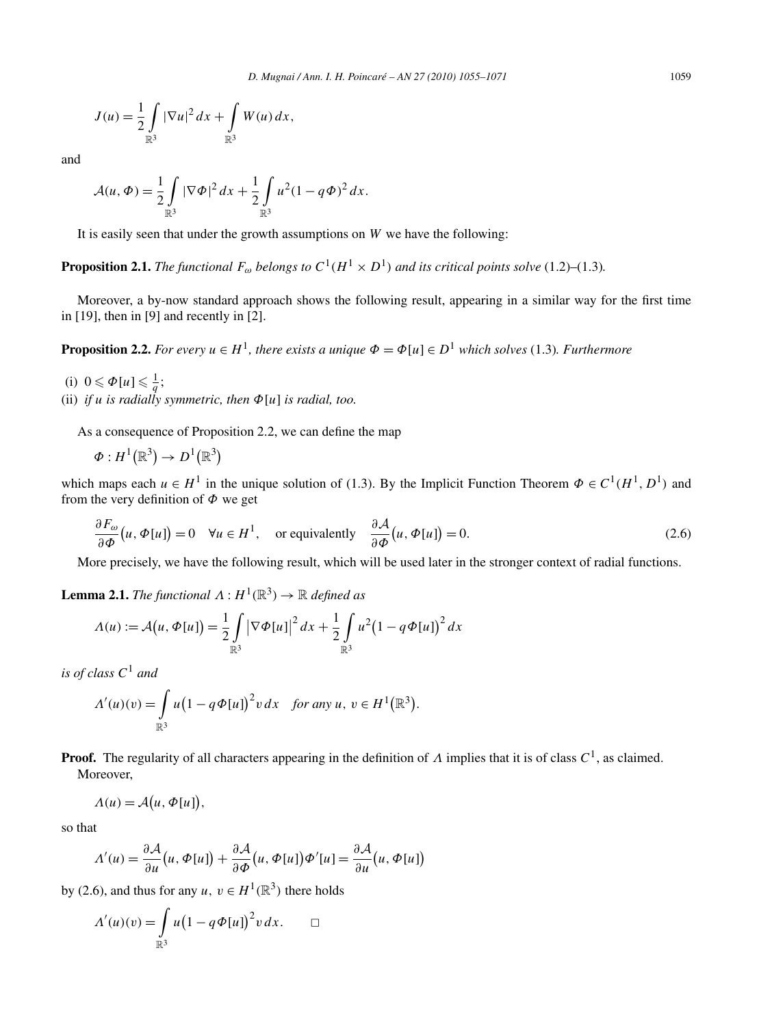$$
J(u) = \frac{1}{2} \int_{\mathbb{R}^3} |\nabla u|^2 \, dx + \int_{\mathbb{R}^3} W(u) \, dx,
$$

and

$$
\mathcal{A}(u,\Phi) = \frac{1}{2} \int_{\mathbb{R}^3} |\nabla \Phi|^2 dx + \frac{1}{2} \int_{\mathbb{R}^3} u^2 (1 - q\Phi)^2 dx.
$$

It is easily seen that under the growth assumptions on *W* we have the following:

**Proposition 2.1.** *The functional*  $F_{\omega}$  *belongs to*  $C^1(H^1 \times D^1)$  *and its critical points solve* (1.2)–(1.3)*.* 

Moreover, a by-now standard approach shows the following result, appearing in a similar way for the first time in [19], then in [9] and recently in [2].

**Proposition 2.2.** *For every*  $u \in H^1$ , *there exists a unique*  $\Phi = \Phi[u] \in D^1$  *which solves* (1.3)*. Furthermore* 

- (i)  $0 \le \Phi[u] \le \frac{1}{q}$ ;
- (ii) *if u is radially symmetric, then*  $\Phi[u]$  *is radial, too.*

As a consequence of Proposition 2.2, we can define the map

$$
\Phi: H^1(\mathbb{R}^3) \to D^1(\mathbb{R}^3)
$$

which maps each  $u \in H^1$  in the unique solution of (1.3). By the Implicit Function Theorem  $\Phi \in C^1(H^1, D^1)$  and from the very definition of *Φ* we get

$$
\frac{\partial F_{\omega}}{\partial \Phi}(u, \Phi[u]) = 0 \quad \forall u \in H^{1}, \quad \text{or equivalently} \quad \frac{\partial \mathcal{A}}{\partial \Phi}(u, \Phi[u]) = 0. \tag{2.6}
$$

More precisely, we have the following result, which will be used later in the stronger context of radial functions.

**Lemma 2.1.** *The functional*  $\Lambda : H^1(\mathbb{R}^3) \to \mathbb{R}$  *defined as* 

$$
\Lambda(u) := \mathcal{A}\big(u, \Phi[u]\big) = \frac{1}{2} \int_{\mathbb{R}^3} \left| \nabla \Phi[u] \right|^2 dx + \frac{1}{2} \int_{\mathbb{R}^3} u^2 \big( 1 - q \Phi[u] \big)^2 dx
$$

*is of class C*<sup>1</sup> *and*

$$
\Lambda'(u)(v) = \int_{\mathbb{R}^3} u(1 - q\Phi[u])^2 v \, dx \quad \text{for any } u, v \in H^1(\mathbb{R}^3).
$$

**Proof.** The regularity of all characters appearing in the definition of *Λ* implies that it is of class *C*1, as claimed. Moreover,

$$
\Lambda(u) = \mathcal{A}\big(u, \Phi[u]\big),
$$

so that

$$
\Lambda'(u) = \frac{\partial \mathcal{A}}{\partial u}(u, \Phi[u]) + \frac{\partial \mathcal{A}}{\partial \Phi}(u, \Phi[u])\Phi'[u] = \frac{\partial \mathcal{A}}{\partial u}(u, \Phi[u])
$$

by (2.6), and thus for any *u*,  $v \in H^1(\mathbb{R}^3)$  there holds

$$
\Lambda'(u)(v) = \int_{\mathbb{R}^3} u(1 - q\Phi[u])^2 v \, dx. \qquad \Box
$$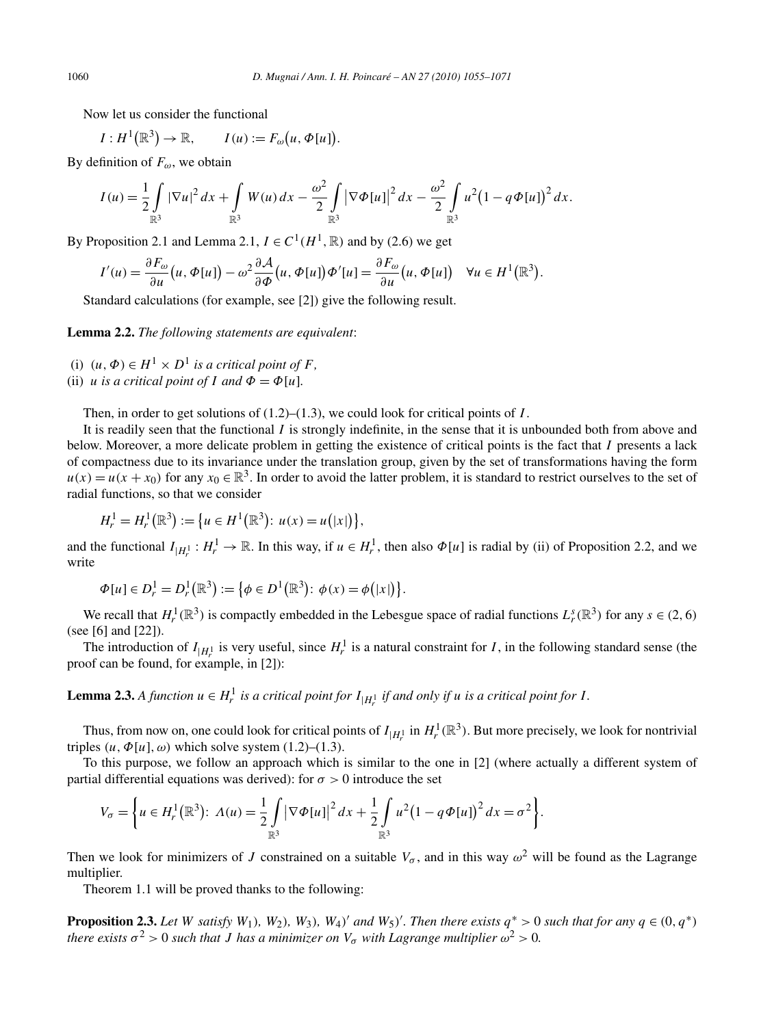Now let us consider the functional

 $I: H^1(\mathbb{R}^3)$  $\rightarrow \mathbb{R}, \qquad I(u) := F_{\omega}(u, \Phi[u]).$ 

By definition of *Fω*, we obtain

$$
I(u) = \frac{1}{2} \int_{\mathbb{R}^3} |\nabla u|^2 dx + \int_{\mathbb{R}^3} W(u) dx - \frac{\omega^2}{2} \int_{\mathbb{R}^3} |\nabla \Phi[u]|^2 dx - \frac{\omega^2}{2} \int_{\mathbb{R}^3} u^2 (1 - q \Phi[u])^2 dx.
$$

By Proposition 2.1 and Lemma 2.1,  $I \in C^1(H^1, \mathbb{R})$  and by (2.6) we get

$$
I'(u) = \frac{\partial F_{\omega}}{\partial u}(u, \Phi[u]) - \omega^2 \frac{\partial \mathcal{A}}{\partial \Phi}(u, \Phi[u]) \Phi'[u] = \frac{\partial F_{\omega}}{\partial u}(u, \Phi[u]) \quad \forall u \in H^1(\mathbb{R}^3).
$$

Standard calculations (for example, see [2]) give the following result.

**Lemma 2.2.** *The following statements are equivalent*:

- (i)  $(u, \Phi) \in H^1 \times D^1$  *is a critical point of F*,
- (ii) *u is a critical point of I and*  $\Phi = \Phi[u]$ *.*

Then, in order to get solutions of  $(1.2)$ – $(1.3)$ , we could look for critical points of *I*.

It is readily seen that the functional *I* is strongly indefinite, in the sense that it is unbounded both from above and below. Moreover, a more delicate problem in getting the existence of critical points is the fact that *I* presents a lack of compactness due to its invariance under the translation group, given by the set of transformations having the form  $u(x) = u(x + x_0)$  for any  $x_0 \in \mathbb{R}^3$ . In order to avoid the latter problem, it is standard to restrict ourselves to the set of radial functions, so that we consider

$$
H_r^1 = H_r^1(\mathbb{R}^3) := \{ u \in H^1(\mathbb{R}^3) : u(x) = u(|x|) \},\
$$

and the functional  $I_{|H_r^1}: H_r^1 \to \mathbb{R}$ . In this way, if  $u \in H_r^1$ , then also  $\Phi[u]$  is radial by (ii) of Proposition 2.2, and we write

$$
\Phi[u] \in D_r^1 = D_r^1(\mathbb{R}^3) := \{ \phi \in D^1(\mathbb{R}^3) : \phi(x) = \phi(|x|) \}.
$$

We recall that  $H_r^1(\mathbb{R}^3)$  is compactly embedded in the Lebesgue space of radial functions  $L_r^s(\mathbb{R}^3)$  for any  $s \in (2, 6)$ (see [6] and [22]).

The introduction of  $I_{|H_r^1}$  is very useful, since  $H_r^1$  is a natural constraint for *I*, in the following standard sense (the proof can be found, for example, in [2]):

**Lemma 2.3.** *A function*  $u \in H_r^1$  *is a critical point for*  $I_{|H_r^1}$  *if and only if*  $u$  *is a critical point for*  $I$ *.* 

Thus, from now on, one could look for critical points of  $I_{|H_r^1}$  in  $H_r^1(\mathbb{R}^3)$ . But more precisely, we look for nontrivial triples  $(u, \Phi[u], \omega)$  which solve system (1.2)–(1.3).

To this purpose, we follow an approach which is similar to the one in [2] (where actually a different system of partial differential equations was derived): for  $\sigma > 0$  introduce the set

$$
V_{\sigma} = \left\{ u \in H_r^1(\mathbb{R}^3): \ \Lambda(u) = \frac{1}{2} \int_{\mathbb{R}^3} |\nabla \Phi[u]|^2 \, dx + \frac{1}{2} \int_{\mathbb{R}^3} u^2 (1 - q \Phi[u])^2 \, dx = \sigma^2 \right\}.
$$

Then we look for minimizers of *J* constrained on a suitable  $V_{\sigma}$ , and in this way  $\omega^2$  will be found as the Lagrange multiplier.

Theorem 1.1 will be proved thanks to the following:

**Proposition 2.3.** Let W satisfy  $W_1$ ,  $W_2$ ,  $W_3$ ,  $W_4$ )' and  $W_5$ )'. Then there exists  $q^* > 0$  such that for any  $q \in (0, q^*)$ *there exists*  $\sigma^2 > 0$  *such that J has a minimizer on*  $V_{\sigma}$  *with Lagrange multiplier*  $\omega^2 > 0$ *.*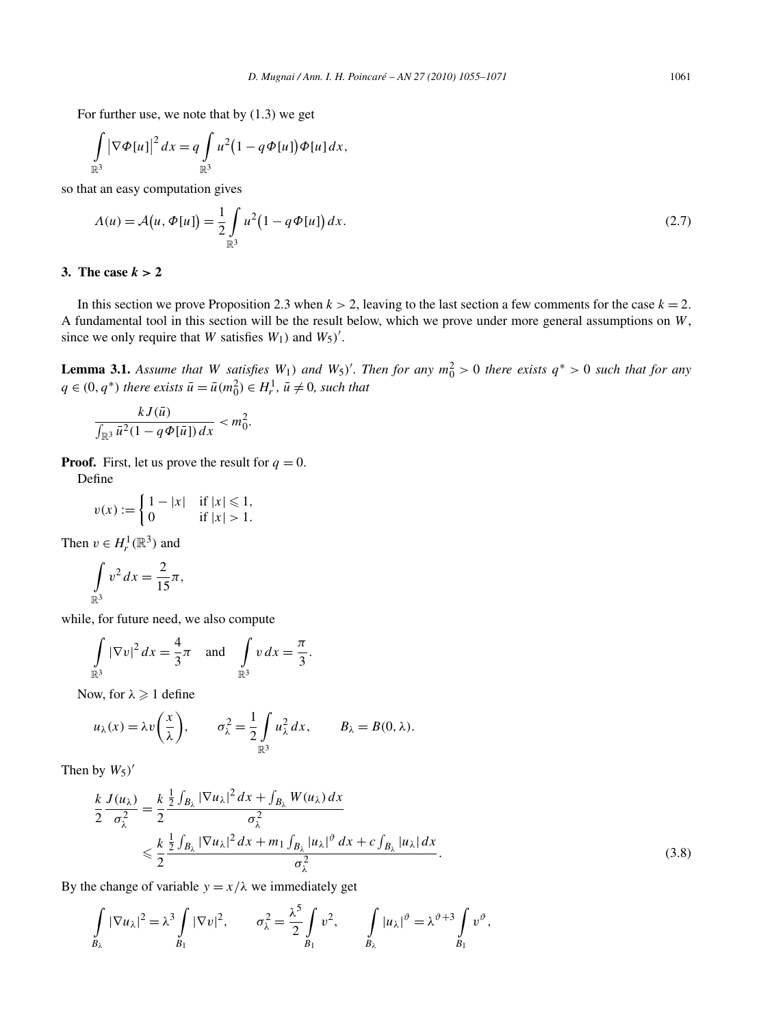For further use, we note that by (1.3) we get

$$
\int_{\mathbb{R}^3} |\nabla \Phi[u]|^2 dx = q \int_{\mathbb{R}^3} u^2 (1 - q \Phi[u]) \Phi[u] dx,
$$

so that an easy computation gives

$$
\Lambda(u) = \mathcal{A}\big(u, \Phi[u]\big) = \frac{1}{2} \int_{\mathbb{R}^3} u^2 \big(1 - q\Phi[u]\big) dx. \tag{2.7}
$$

# **3.** The case  $k > 2$

In this section we prove Proposition 2.3 when  $k > 2$ , leaving to the last section a few comments for the case  $k = 2$ . A fundamental tool in this section will be the result below, which we prove under more general assumptions on *W*, since we only require that *W* satisfies  $W_1$ *)* and  $W_5$ <sup> $\prime$ </sup>.

**Lemma 3.1.** Assume that W satisfies  $W_1$ ) and  $W_5$ '. Then for any  $m_0^2 > 0$  there exists  $q^* > 0$  such that for any  $q \in (0, q^*)$  *there exists*  $\bar{u} = \bar{u}(m_0^2) \in H_r^1$ ,  $\bar{u} \neq 0$ *, such that* 

$$
\frac{kJ(\bar{u})}{\int_{\mathbb{R}^3} \bar{u}^2(1-q\Phi[\bar{u}])\,dx} < m_0^2.
$$

**Proof.** First, let us prove the result for  $q = 0$ .

Define

$$
v(x) := \begin{cases} 1 - |x| & \text{if } |x| \le 1, \\ 0 & \text{if } |x| > 1. \end{cases}
$$

Then  $v \in H_r^1(\mathbb{R}^3)$  and

$$
\int\limits_{\mathbb{R}^3} v^2 dx = \frac{2}{15}\pi,
$$

while, for future need, we also compute

$$
\int_{\mathbb{R}^3} |\nabla v|^2 dx = \frac{4}{3}\pi \quad \text{and} \quad \int_{\mathbb{R}^3} v dx = \frac{\pi}{3}.
$$

Now, for  $\lambda \geqslant 1$  define

$$
u_{\lambda}(x) = \lambda v \left(\frac{x}{\lambda}\right), \qquad \sigma_{\lambda}^2 = \frac{1}{2} \int_{\mathbb{R}^3} u_{\lambda}^2 dx, \qquad B_{\lambda} = B(0, \lambda).
$$

Then by  $W_5'$ 

$$
\frac{k}{2} \frac{J(u_\lambda)}{\sigma_\lambda^2} = \frac{k}{2} \frac{\frac{1}{2} \int_{B_\lambda} |\nabla u_\lambda|^2 dx + \int_{B_\lambda} W(u_\lambda) dx}{\sigma_\lambda^2}
$$
\n
$$
\leq \frac{k}{2} \frac{\frac{1}{2} \int_{B_\lambda} |\nabla u_\lambda|^2 dx + m_1 \int_{B_\lambda} |u_\lambda|^2 dx + c \int_{B_\lambda} |u_\lambda| dx}{\sigma_\lambda^2}.
$$
\n(3.8)

By the change of variable  $y = x/\lambda$  we immediately get

$$
\int_{B_{\lambda}} |\nabla u_{\lambda}|^2 = \lambda^3 \int_{B_1} |\nabla v|^2, \qquad \sigma_{\lambda}^2 = \frac{\lambda^5}{2} \int_{B_1} v^2, \qquad \int_{B_{\lambda}} |u_{\lambda}|^{\vartheta} = \lambda^{\vartheta+3} \int_{B_1} v^{\vartheta},
$$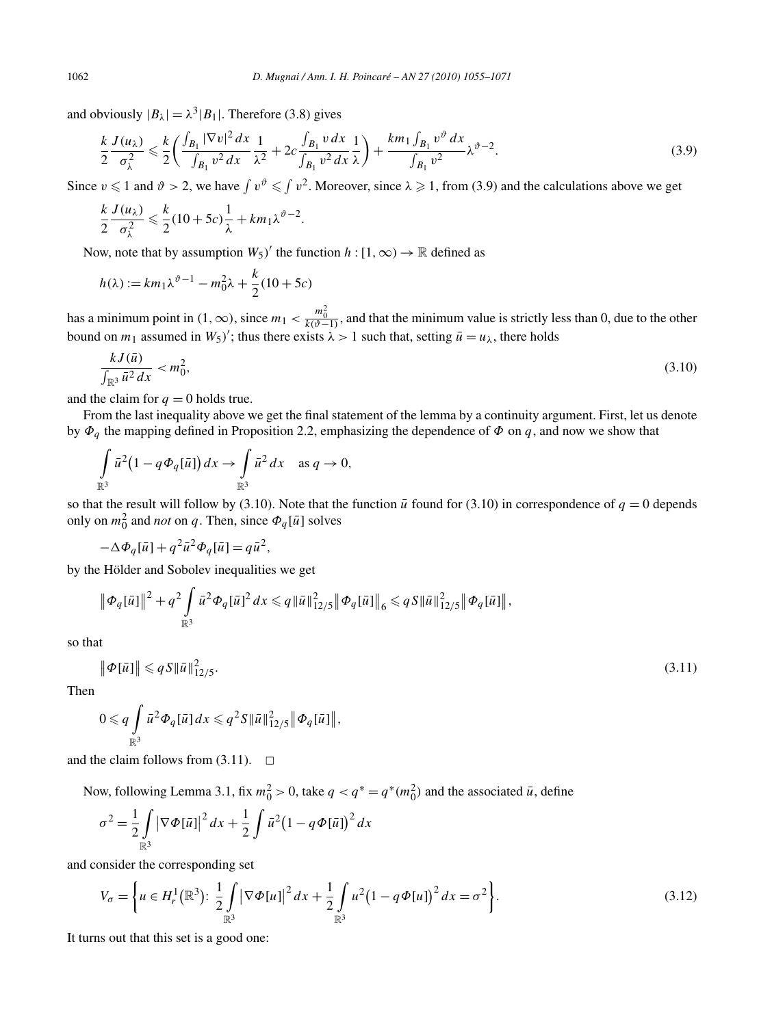and obviously  $|B_\lambda| = \lambda^3 |B_1|$ . Therefore (3.8) gives

$$
\frac{k}{2} \frac{J(u_{\lambda})}{\sigma_{\lambda}^{2}} \le \frac{k}{2} \left( \frac{\int_{B_{1}} |\nabla v|^{2} dx}{\int_{B_{1}} v^{2} dx} \frac{1}{\lambda^{2}} + 2c \frac{\int_{B_{1}} v dx}{\int_{B_{1}} v^{2} dx} \frac{1}{\lambda} \right) + \frac{k m_{1} \int_{B_{1}} v^{3} dx}{\int_{B_{1}} v^{2}} \lambda^{3-2}.
$$
\n(3.9)

Since  $v \le 1$  and  $\vartheta > 2$ , we have  $\int v^{\vartheta} \le \int v^2$ . Moreover, since  $\lambda \ge 1$ , from (3.9) and the calculations above we get

$$
\frac{k}{2}\frac{J(u_\lambda)}{\sigma_\lambda^2} \leqslant \frac{k}{2}(10+5c)\frac{1}{\lambda} + km_1\lambda^{\vartheta-2}.
$$

Now, note that by assumption  $W_5$ <sup>*'*</sup> the function  $h: [1, \infty) \to \mathbb{R}$  defined as

$$
h(\lambda) := km_1 \lambda^{\vartheta - 1} - m_0^2 \lambda + \frac{k}{2} (10 + 5c)
$$

has a minimum point in  $(1, \infty)$ , since  $m_1 < \frac{m_0^2}{k(\vartheta - 1)}$ , and that the minimum value is strictly less than 0, due to the other bound on  $m_1$  assumed in  $W_5$ <sup> $\prime$ </sup>; thus there exists  $\lambda > 1$  such that, setting  $\bar{u} = u_\lambda$ , there holds

$$
\frac{kJ(\bar{u})}{\int_{\mathbb{R}^3} \bar{u}^2 dx} < m_0^2,\tag{3.10}
$$

and the claim for  $q = 0$  holds true.

From the last inequality above we get the final statement of the lemma by a continuity argument. First, let us denote by *Φq* the mapping defined in Proposition 2.2, emphasizing the dependence of *Φ* on *q*, and now we show that

$$
\int_{\mathbb{R}^3} \bar{u}^2 (1 - q \Phi_q[\bar{u}]) dx \to \int_{\mathbb{R}^3} \bar{u}^2 dx \text{ as } q \to 0,
$$

so that the result will follow by (3.10). Note that the function  $\bar{u}$  found for (3.10) in correspondence of  $q = 0$  depends only on  $m_0^2$  and *not* on *q*. Then, since  $\Phi_q[\bar{u}]$  solves

$$
-\Delta \Phi_q[\bar{u}] + q^2 \bar{u}^2 \Phi_q[\bar{u}] = q\bar{u}^2,
$$

by the Hölder and Sobolev inequalities we get

$$
\|\Phi_q[\bar{u}]\|^2 + q^2 \int\limits_{\mathbb{R}^3} \bar{u}^2 \Phi_q[\bar{u}]^2 dx \leq q \|\bar{u}\|_{12/5}^2 \|\Phi_q[\bar{u}]\|_6 \leq q S \|\bar{u}\|_{12/5}^2 \|\Phi_q[\bar{u}]\|,
$$

so that

$$
\|\Phi[\bar{u}]\| \leqslant qS \|\bar{u}\|_{12/5}^2. \tag{3.11}
$$

Then

$$
0 \leqslant q \int\limits_{\mathbb{R}^3} \bar{u}^2 \Phi_q[\bar{u}] \, dx \leqslant q^2 S \|\bar{u}\|_{12/5}^2 \|\Phi_q[\bar{u}]\|,
$$

and the claim follows from  $(3.11)$ .  $\Box$ 

Now, following Lemma 3.1, fix  $m_0^2 > 0$ , take  $q < q^* = q^*(m_0^2)$  and the associated  $\bar{u}$ , define

$$
\sigma^2 = \frac{1}{2} \int\limits_{\mathbb{R}^3} \left| \nabla \Phi[\bar{u}] \right|^2 dx + \frac{1}{2} \int \bar{u}^2 \left( 1 - q \Phi[\bar{u}] \right)^2 dx
$$

and consider the corresponding set

$$
V_{\sigma} = \left\{ u \in H_r^1(\mathbb{R}^3) : \frac{1}{2} \int_{\mathbb{R}^3} |\nabla \Phi[u]|^2 dx + \frac{1}{2} \int_{\mathbb{R}^3} u^2 (1 - q \Phi[u])^2 dx = \sigma^2 \right\}.
$$
 (3.12)

It turns out that this set is a good one: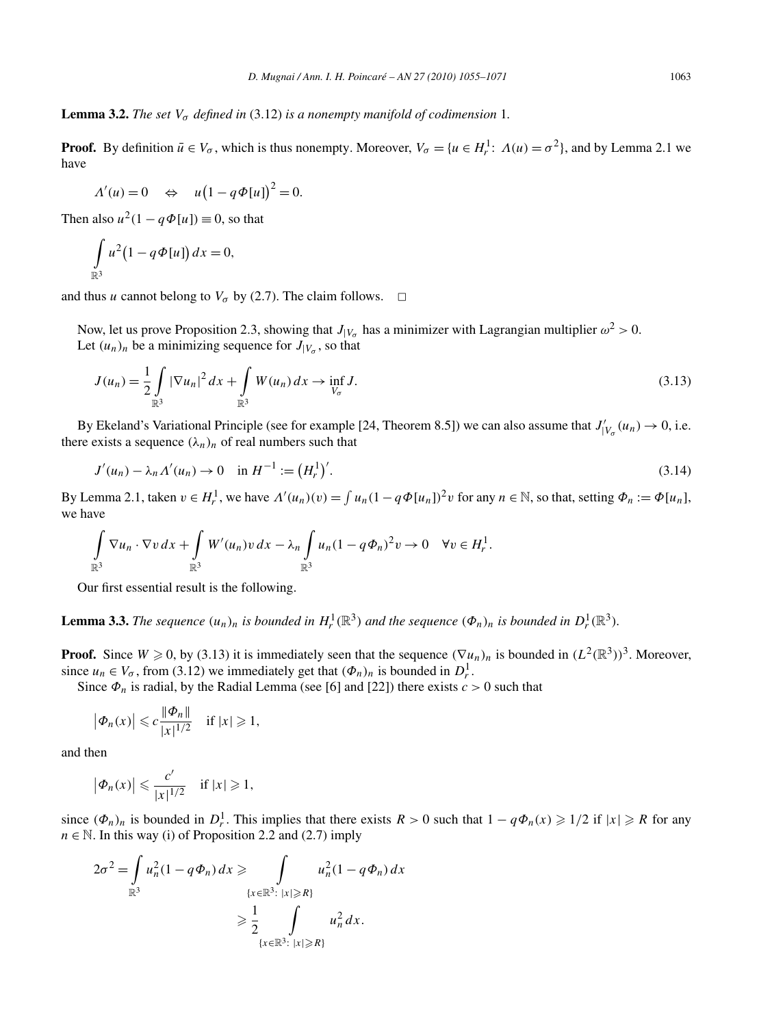**Lemma 3.2.** *The set*  $V_{\sigma}$  *defined in* (3.12) *is a nonempty manifold of codimension* 1*.* 

**Proof.** By definition  $\bar{u} \in V_{\sigma}$ , which is thus nonempty. Moreover,  $V_{\sigma} = \{u \in H_r^1: \Lambda(u) = \sigma^2\}$ , and by Lemma 2.1 we have

$$
\Lambda'(u) = 0 \quad \Leftrightarrow \quad u\big(1 - q\Phi[u]\big)^2 = 0.
$$

Then also  $u^2(1 - q\Phi[u]) \equiv 0$ , so that

$$
\int_{\mathbb{R}^3} u^2 (1 - q \Phi[u]) dx = 0,
$$

and thus *u* cannot belong to  $V_{\sigma}$  by (2.7). The claim follows.  $\Box$ 

Now, let us prove Proposition 2.3, showing that  $J_{|V_\sigma}$  has a minimizer with Lagrangian multiplier  $\omega^2 > 0$ . Let  $(u_n)_n$  be a minimizing sequence for  $J_{|V_\sigma}$ , so that

$$
J(u_n) = \frac{1}{2} \int_{\mathbb{R}^3} |\nabla u_n|^2 dx + \int_{\mathbb{R}^3} W(u_n) dx \to \inf_{V_\sigma} J.
$$
 (3.13)

By Ekeland's Variational Principle (see for example [24, Theorem 8.5]) we can also assume that  $J'_{|V_\sigma}(u_n) \to 0$ , i.e. there exists a sequence  $(\lambda_n)_n$  of real numbers such that

$$
J'(u_n) - \lambda_n \Lambda'(u_n) \to 0 \quad \text{in } H^{-1} := (H_r^1)'.
$$
\n(3.14)

By Lemma 2.1, taken  $v \in H_r^1$ , we have  $\Lambda'(u_n)(v) = \int u_n (1 - q \Phi[u_n])^2 v$  for any  $n \in \mathbb{N}$ , so that, setting  $\Phi_n := \Phi[u_n]$ , we have

$$
\int_{\mathbb{R}^3} \nabla u_n \cdot \nabla v \, dx + \int_{\mathbb{R}^3} W'(u_n) v \, dx - \lambda_n \int_{\mathbb{R}^3} u_n (1 - q \Phi_n)^2 v \to 0 \quad \forall v \in H_r^1.
$$

Our first essential result is the following.

**Lemma 3.3.** The sequence  $(u_n)_n$  is bounded in  $H_r^1(\mathbb{R}^3)$  and the sequence  $(\Phi_n)_n$  is bounded in  $D_r^1(\mathbb{R}^3)$ .

**Proof.** Since  $W \ge 0$ , by (3.13) it is immediately seen that the sequence  $(\nabla u_n)_n$  is bounded in  $(L^2(\mathbb{R}^3))^3$ . Moreover, since  $u_n \in V_\sigma$ , from (3.12) we immediately get that  $(\Phi_n)_n$  is bounded in  $D_r^1$ .

Since  $\Phi_n$  is radial, by the Radial Lemma (see [6] and [22]) there exists  $c > 0$  such that

$$
\left|\Phi_n(x)\right|\leqslant c\frac{\left\|\Phi_n\right\|}{|x|^{1/2}}\quad\text{if}\ |x|\geqslant 1,
$$

and then

$$
\left|\varPhi_n(x)\right|\leqslant \frac{c'}{|x|^{1/2}}\quad\text{if}\;|x|\geqslant 1,
$$

since  $(\Phi_n)_n$  is bounded in  $D_r^1$ . This implies that there exists  $R > 0$  such that  $1 - q\Phi_n(x) \geq 1/2$  if  $|x| \geq R$  for any  $n \in \mathbb{N}$ . In this way (i) of Proposition 2.2 and (2.7) imply

$$
2\sigma^2 = \int_{\mathbb{R}^3} u_n^2 (1 - q\Phi_n) dx \ge \int_{\{x \in \mathbb{R}^3 : |x| \ge R\}} u_n^2 (1 - q\Phi_n) dx
$$
  

$$
\ge \frac{1}{2} \int_{\{x \in \mathbb{R}^3 : |x| \ge R\}} u_n^2 dx.
$$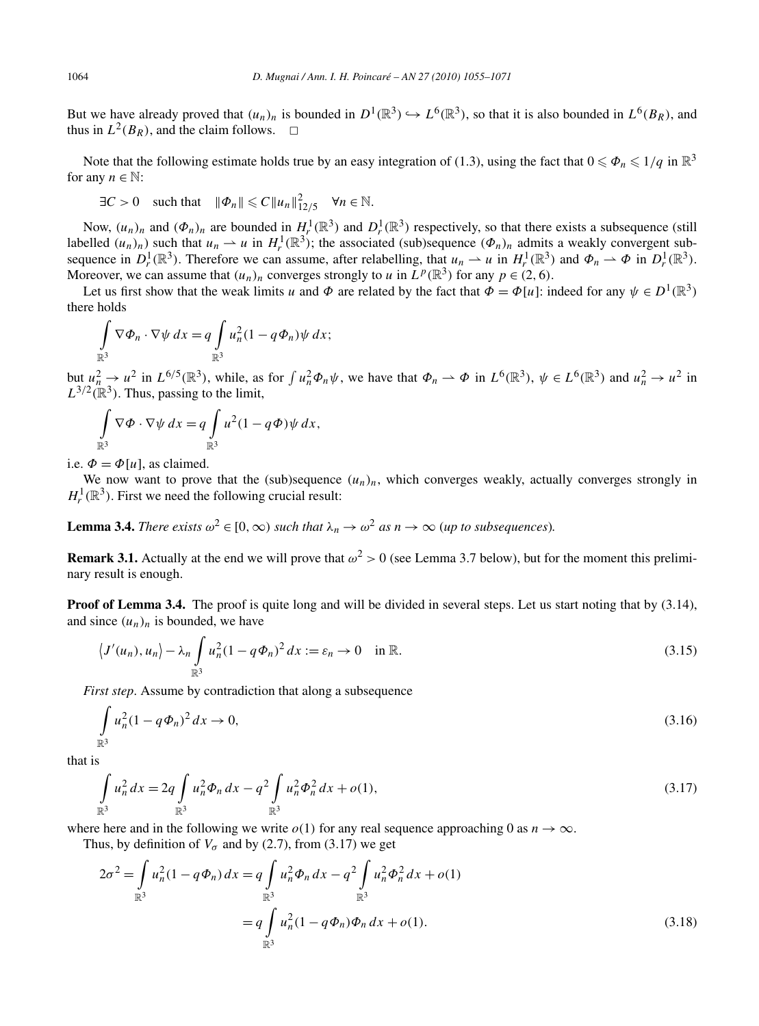But we have already proved that  $(u_n)_n$  is bounded in  $D^1(\mathbb{R}^3) \hookrightarrow L^6(\mathbb{R}^3)$ , so that it is also bounded in  $L^6(B_R)$ , and thus in  $L^2(B_R)$ , and the claim follows.  $\Box$ 

Note that the following estimate holds true by an easy integration of (1.3), using the fact that  $0 \le \Phi_n \le 1/q$  in  $\mathbb{R}^3$ for any  $n \in \mathbb{N}$ :

$$
\exists C > 0 \quad \text{such that} \quad \|\Phi_n\| \leqslant C \|u_n\|_{12/5}^2 \quad \forall n \in \mathbb{N}.
$$

Now,  $(u_n)_n$  and  $(\Phi_n)_n$  are bounded in  $H^1_r(\mathbb{R}^3)$  and  $D^1_r(\mathbb{R}^3)$  respectively, so that there exists a subsequence (still labelled  $(u_n)_n$  such that  $u_n \rightharpoonup u$  in  $H_r^1(\mathbb{R}^3)$ ; the associated (sub)sequence  $(\Phi_n)_n$  admits a weakly convergent subsequence in  $D_r^1(\mathbb{R}^3)$ . Therefore we can assume, after relabelling, that  $u_n \rightharpoonup u$  in  $H_r^1(\mathbb{R}^3)$  and  $\Phi_n \rightharpoonup \Phi$  in  $D_r^1(\mathbb{R}^3)$ . Moreover, we can assume that  $(u_n)_n$  converges strongly to *u* in  $L^p(\mathbb{R}^3)$  for any  $p \in (2, 6)$ .

Let us first show that the weak limits *u* and  $\Phi$  are related by the fact that  $\Phi = \Phi[u]$ : indeed for any  $\psi \in D^1(\mathbb{R}^3)$ there holds

$$
\int_{\mathbb{R}^3} \nabla \Phi_n \cdot \nabla \psi \, dx = q \int_{\mathbb{R}^3} u_n^2 (1 - q \Phi_n) \psi \, dx;
$$

but  $u_n^2 \to u^2$  in  $L^{6/5}(\mathbb{R}^3)$ , while, as for  $\int u_n^2 \Phi_n \psi$ , we have that  $\Phi_n \to \Phi$  in  $L^6(\mathbb{R}^3)$ ,  $\psi \in L^6(\mathbb{R}^3)$  and  $u_n^2 \to u^2$  in  $L^{3/2}(\mathbb{R}^3)$ . Thus, passing to the limit,

$$
\int_{\mathbb{R}^3} \nabla \Phi \cdot \nabla \psi \, dx = q \int_{\mathbb{R}^3} u^2 (1 - q \Phi) \psi \, dx,
$$

i.e.  $\Phi = \Phi[u]$ , as claimed.

We now want to prove that the (sub)sequence  $(u_n)_n$ , which converges weakly, actually converges strongly in  $H_r^1(\mathbb{R}^3)$ . First we need the following crucial result:

**Lemma 3.4.** *There exists*  $\omega^2 \in [0, \infty)$  *such that*  $\lambda_n \to \omega^2$  *as*  $n \to \infty$  (*up to subsequences*).

**Remark 3.1.** Actually at the end we will prove that  $\omega^2 > 0$  (see Lemma 3.7 below), but for the moment this preliminary result is enough.

**Proof of Lemma 3.4.** The proof is quite long and will be divided in several steps. Let us start noting that by (3.14), and since  $(u_n)_n$  is bounded, we have

$$
\langle J'(u_n), u_n \rangle - \lambda_n \int_{\mathbb{R}^3} u_n^2 (1 - q \Phi_n)^2 dx := \varepsilon_n \to 0 \quad \text{in } \mathbb{R}.
$$
 (3.15)

*First step.* Assume by contradiction that along a subsequence

$$
\int_{\mathbb{R}^3} u_n^2 (1 - q \Phi_n)^2 dx \to 0,
$$
\n(3.16)

that is

$$
\int_{\mathbb{R}^3} u_n^2 dx = 2q \int_{\mathbb{R}^3} u_n^2 \Phi_n dx - q^2 \int_{\mathbb{R}^3} u_n^2 \Phi_n^2 dx + o(1),
$$
\n(3.17)

where here and in the following we write  $o(1)$  for any real sequence approaching 0 as  $n \to \infty$ .

Thus, by definition of  $V_{\sigma}$  and by (2.7), from (3.17) we get

$$
2\sigma^2 = \int_{\mathbb{R}^3} u_n^2 (1 - q\Phi_n) dx = q \int_{\mathbb{R}^3} u_n^2 \Phi_n dx - q^2 \int_{\mathbb{R}^3} u_n^2 \Phi_n^2 dx + o(1)
$$
  
=  $q \int_{\mathbb{R}^3} u_n^2 (1 - q\Phi_n) \Phi_n dx + o(1).$  (3.18)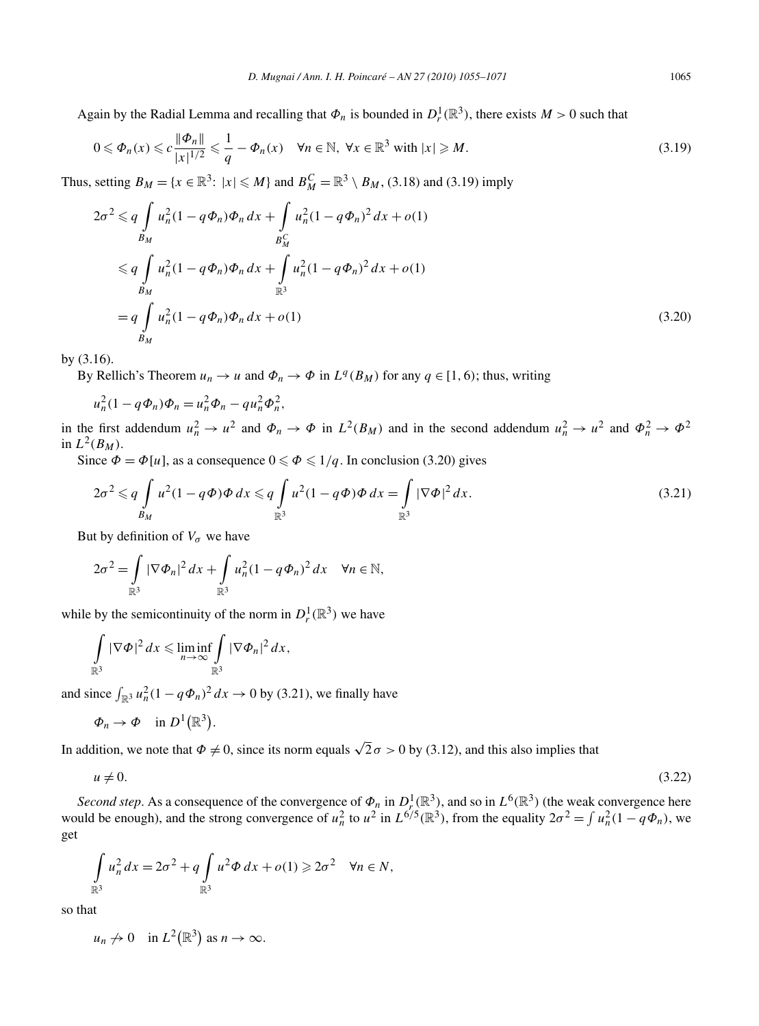Again by the Radial Lemma and recalling that  $\Phi_n$  is bounded in  $D_r^1(\mathbb{R}^3)$ , there exists  $M > 0$  such that

$$
0 \leqslant \Phi_n(x) \leqslant c \frac{\|\Phi_n\|}{|x|^{1/2}} \leqslant \frac{1}{q} - \Phi_n(x) \quad \forall n \in \mathbb{N}, \ \forall x \in \mathbb{R}^3 \text{ with } |x| \geqslant M. \tag{3.19}
$$

Thus, setting  $B_M = \{x \in \mathbb{R}^3 : |x| \leq M\}$  and  $B_M^C = \mathbb{R}^3 \setminus B_M$ , (3.18) and (3.19) imply

$$
2\sigma^2 \leq q \int_{B_M} u_n^2 (1 - q \Phi_n) \Phi_n \, dx + \int_{B_M^C} u_n^2 (1 - q \Phi_n)^2 \, dx + o(1)
$$
  
\n
$$
\leq q \int_{B_M} u_n^2 (1 - q \Phi_n) \Phi_n \, dx + \int_{\mathbb{R}^3} u_n^2 (1 - q \Phi_n)^2 \, dx + o(1)
$$
  
\n
$$
= q \int_{B_M} u_n^2 (1 - q \Phi_n) \Phi_n \, dx + o(1)
$$
\n(3.20)

by (3.16).

By Rellich's Theorem  $u_n \to u$  and  $\Phi_n \to \Phi$  in  $L^q(B_M)$  for any  $q \in [1, 6)$ ; thus, writing

$$
u_n^2(1 - q\Phi_n)\Phi_n = u_n^2\Phi_n - qu_n^2\Phi_n^2,
$$

in the first addendum  $u_n^2 \to u^2$  and  $\Phi_n \to \Phi$  in  $L^2(B_M)$  and in the second addendum  $u_n^2 \to u^2$  and  $\Phi_n^2 \to \Phi^2$ in  $L^2(B_M)$ .

Since  $\Phi = \Phi[u]$ , as a consequence  $0 \le \Phi \le 1/q$ . In conclusion (3.20) gives

$$
2\sigma^2 \leqslant q \int\limits_{B_M} u^2 (1 - q\Phi) \Phi \, dx \leqslant q \int\limits_{\mathbb{R}^3} u^2 (1 - q\Phi) \Phi \, dx = \int\limits_{\mathbb{R}^3} |\nabla \Phi|^2 \, dx. \tag{3.21}
$$

But by definition of  $V_{\sigma}$  we have

$$
2\sigma^2 = \int_{\mathbb{R}^3} |\nabla \Phi_n|^2 dx + \int_{\mathbb{R}^3} u_n^2 (1 - q \Phi_n)^2 dx \quad \forall n \in \mathbb{N},
$$

while by the semicontinuity of the norm in  $D_r^1(\mathbb{R}^3)$  we have

$$
\int_{\mathbb{R}^3} |\nabla \Phi|^2 dx \leqslant \liminf_{n \to \infty} \int_{\mathbb{R}^3} |\nabla \Phi_n|^2 dx,
$$

and since  $\int_{\mathbb{R}^3} u_n^2 (1 - q \Phi_n)^2 dx \to 0$  by (3.21), we finally have

$$
\Phi_n \to \Phi \quad \text{in } D^1(\mathbb{R}^3).
$$

In addition, we note that  $\Phi \neq 0$ , since its norm equals  $\sqrt{2}\sigma > 0$  by (3.12), and this also implies that

$$
u \neq 0. \tag{3.22}
$$

*Second step.* As a consequence of the convergence of  $\Phi_n$  in  $D^1_L(\mathbb{R}^3)$ , and so in  $L^6(\mathbb{R}^3)$  (the weak convergence here would be enough), and the strong convergence of  $u_n^2$  to  $u^2$  in  $L^{6/5}(\mathbb{R}^3)$ , from the equality  $2\sigma^2 = \int u_n^2(1 - q\Phi_n)$ , we get

$$
\int_{\mathbb{R}^3} u_n^2 dx = 2\sigma^2 + q \int_{\mathbb{R}^3} u^2 \Phi dx + o(1) \ge 2\sigma^2 \quad \forall n \in N,
$$

so that

 $u_n \nrightarrow 0$  in  $L^2(\mathbb{R}^3)$  as  $n \rightarrow \infty$ .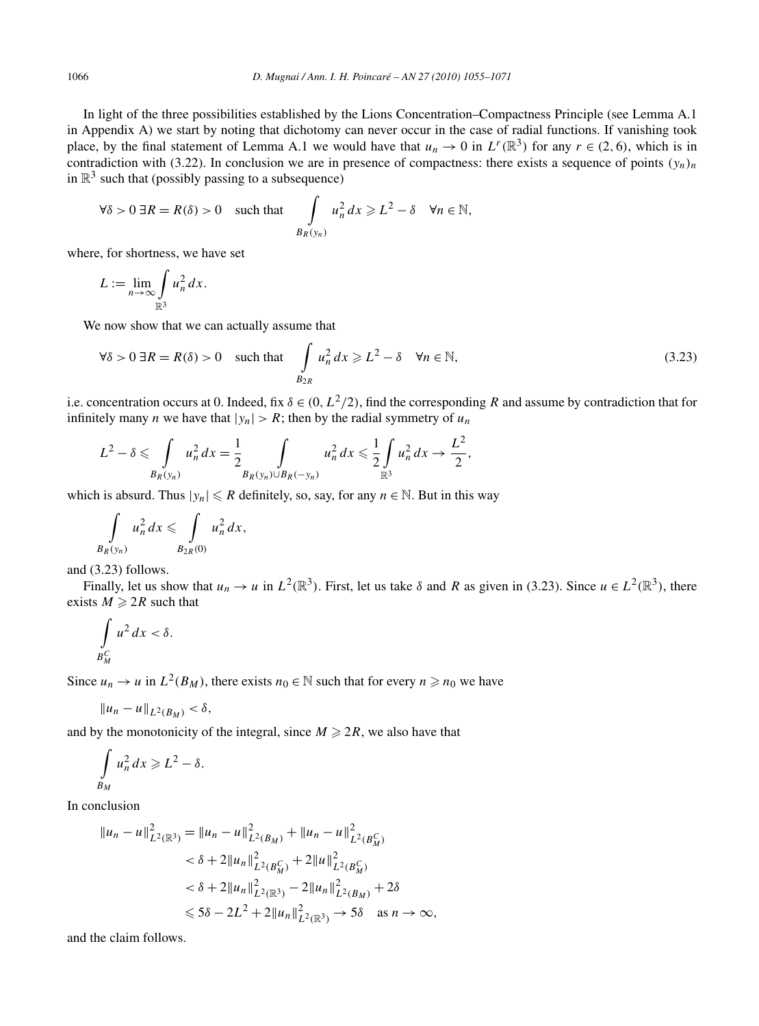In light of the three possibilities established by the Lions Concentration–Compactness Principle (see Lemma A.1 in Appendix A) we start by noting that dichotomy can never occur in the case of radial functions. If vanishing took place, by the final statement of Lemma A.1 we would have that  $u_n \to 0$  in  $L^r(\mathbb{R}^3)$  for any  $r \in (2, 6)$ , which is in contradiction with (3.22). In conclusion we are in presence of compactness: there exists a sequence of points  $(y_n)_n$ in  $\mathbb{R}^3$  such that (possibly passing to a subsequence)

$$
\forall \delta > 0 \ \exists R = R(\delta) > 0 \quad \text{such that} \quad \int\limits_{B_R(y_n)} u_n^2 \, dx \geqslant L^2 - \delta \quad \forall n \in \mathbb{N},
$$

where, for shortness, we have set

$$
L := \lim_{n \to \infty} \int_{\mathbb{R}^3} u_n^2 dx.
$$

We now show that we can actually assume that

$$
\forall \delta > 0 \ \exists R = R(\delta) > 0 \quad \text{such that} \quad \int_{B_{2R}} u_n^2 \, dx \ge L^2 - \delta \quad \forall n \in \mathbb{N}, \tag{3.23}
$$

i.e. concentration occurs at 0. Indeed, fix  $\delta \in (0, L^2/2)$ , find the corresponding *R* and assume by contradiction that for infinitely many *n* we have that  $|y_n| > R$ ; then by the radial symmetry of  $u_n$ 

$$
L^{2} - \delta \leq \int\limits_{B_{R}(y_{n})} u_{n}^{2} dx = \frac{1}{2} \int\limits_{B_{R}(y_{n}) \cup B_{R}(-y_{n})} u_{n}^{2} dx \leq \frac{1}{2} \int\limits_{\mathbb{R}^{3}} u_{n}^{2} dx \to \frac{L^{2}}{2},
$$

which is absurd. Thus  $|y_n| \le R$  definitely, so, say, for any  $n \in \mathbb{N}$ . But in this way

$$
\int\limits_{B_R(y_n)} u_n^2 dx \leqslant \int\limits_{B_{2R}(0)} u_n^2 dx,
$$

and (3.23) follows.

Finally, let us show that  $u_n \to u$  in  $L^2(\mathbb{R}^3)$ . First, let us take  $\delta$  and  $R$  as given in (3.23). Since  $u \in L^2(\mathbb{R}^3)$ , there exists  $M \ge 2R$  such that

$$
\int\limits_{B_M^C} u^2\,dx < \delta.
$$

Since  $u_n \to u$  in  $L^2(B_M)$ , there exists  $n_0 \in \mathbb{N}$  such that for every  $n \ge n_0$  we have

$$
\|u_n-u\|_{L^2(B_M)}<\delta,
$$

and by the monotonicity of the integral, since  $M \ge 2R$ , we also have that

$$
\int\limits_{B_M} u_n^2\,dx \geqslant L^2 - \delta.
$$

In conclusion

$$
||u_n - u||_{L^2(\mathbb{R}^3)}^2 = ||u_n - u||_{L^2(B_M)}^2 + ||u_n - u||_{L^2(B_M^C)}^2
$$
  

$$
< \delta + 2||u_n||_{L^2(B_M^C)}^2 + 2||u||_{L^2(B_M^C)}^2
$$
  

$$
< \delta + 2||u_n||_{L^2(\mathbb{R}^3)}^2 - 2||u_n||_{L^2(B_M)}^2 + 2\delta
$$
  

$$
\leq 5\delta - 2L^2 + 2||u_n||_{L^2(\mathbb{R}^3)}^2 \to 5\delta \quad \text{as } n \to \infty,
$$

and the claim follows.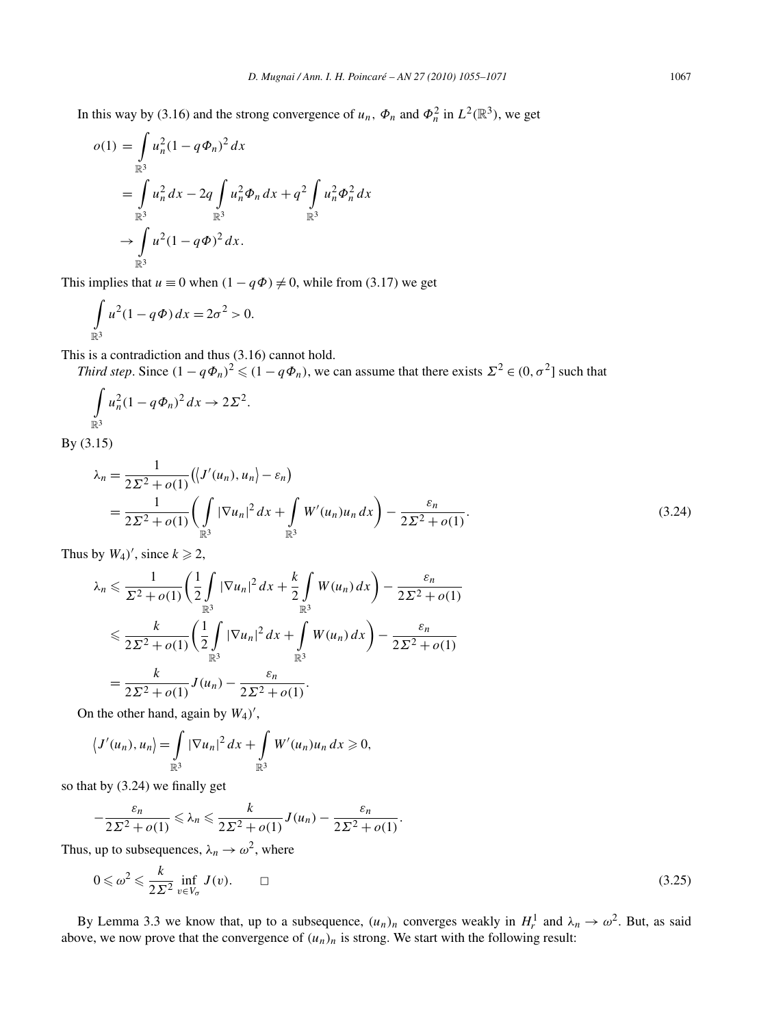In this way by (3.16) and the strong convergence of  $u_n$ ,  $\Phi_n$  and  $\Phi_n^2$  in  $L^2(\mathbb{R}^3)$ , we get

$$
o(1) = \int_{\mathbb{R}^3} u_n^2 (1 - q \Phi_n)^2 dx
$$
  
= 
$$
\int_{\mathbb{R}^3} u_n^2 dx - 2q \int_{\mathbb{R}^3} u_n^2 \Phi_n dx + q^2 \int_{\mathbb{R}^3} u_n^2 \Phi_n^2 dx
$$
  

$$
\to \int_{\mathbb{R}^3} u^2 (1 - q \Phi)^2 dx.
$$

This implies that  $u \equiv 0$  when  $(1 - q\Phi) \neq 0$ , while from (3.17) we get

$$
\int_{\mathbb{R}^3} u^2 (1 - q\Phi) dx = 2\sigma^2 > 0.
$$

This is a contradiction and thus (3.16) cannot hold.

*Third step.* Since  $(1 - q\Phi_n)^2 \leq (1 - q\Phi_n)$ , we can assume that there exists  $\Sigma^2 \in (0, \sigma^2]$  such that

$$
\int_{\mathbb{R}^3} u_n^2 (1 - q \Phi_n)^2 dx \to 2\Sigma^2.
$$

By (3.15)

$$
\lambda_n = \frac{1}{2\Sigma^2 + o(1)} \left( \left\langle J'(u_n), u_n \right\rangle - \varepsilon_n \right)
$$
\n
$$
= \frac{1}{2\Sigma^2 + o(1)} \left( \int_{\mathbb{R}^3} |\nabla u_n|^2 \, dx + \int_{\mathbb{R}^3} W'(u_n) u_n \, dx \right) - \frac{\varepsilon_n}{2\Sigma^2 + o(1)}.
$$
\n(3.24)

Thus by  $W_4$ <sup>'</sup>, since  $k \ge 2$ ,

$$
\lambda_n \leq \frac{1}{\Sigma^2 + o(1)} \left( \frac{1}{2} \int_{\mathbb{R}^3} |\nabla u_n|^2 dx + \frac{k}{2} \int_{\mathbb{R}^3} W(u_n) dx \right) - \frac{\varepsilon_n}{2\Sigma^2 + o(1)}
$$
  

$$
\leq \frac{k}{2\Sigma^2 + o(1)} \left( \frac{1}{2} \int_{\mathbb{R}^3} |\nabla u_n|^2 dx + \int_{\mathbb{R}^3} W(u_n) dx \right) - \frac{\varepsilon_n}{2\Sigma^2 + o(1)}
$$
  

$$
= \frac{k}{2\Sigma^2 + o(1)} J(u_n) - \frac{\varepsilon_n}{2\Sigma^2 + o(1)}.
$$

On the other hand, again by  $W_4$ <sup>'</sup>,

$$
\langle J'(u_n), u_n \rangle = \int_{\mathbb{R}^3} |\nabla u_n|^2 dx + \int_{\mathbb{R}^3} W'(u_n) u_n dx \geqslant 0,
$$

so that by (3.24) we finally get

$$
-\frac{\varepsilon_n}{2\Sigma^2 + o(1)} \leq \lambda_n \leq \frac{k}{2\Sigma^2 + o(1)} J(u_n) - \frac{\varepsilon_n}{2\Sigma^2 + o(1)}
$$

Thus, up to subsequences,  $\lambda_n \to \omega^2$ , where

$$
0 \leqslant \omega^2 \leqslant \frac{k}{2\Sigma^2} \inf_{v \in V_{\sigma}} J(v). \qquad \Box
$$
\n
$$
(3.25)
$$

*.*

By Lemma 3.3 we know that, up to a subsequence,  $(u_n)_n$  converges weakly in  $H_r^1$  and  $\lambda_n \to \omega^2$ . But, as said above, we now prove that the convergence of  $(u_n)_n$  is strong. We start with the following result: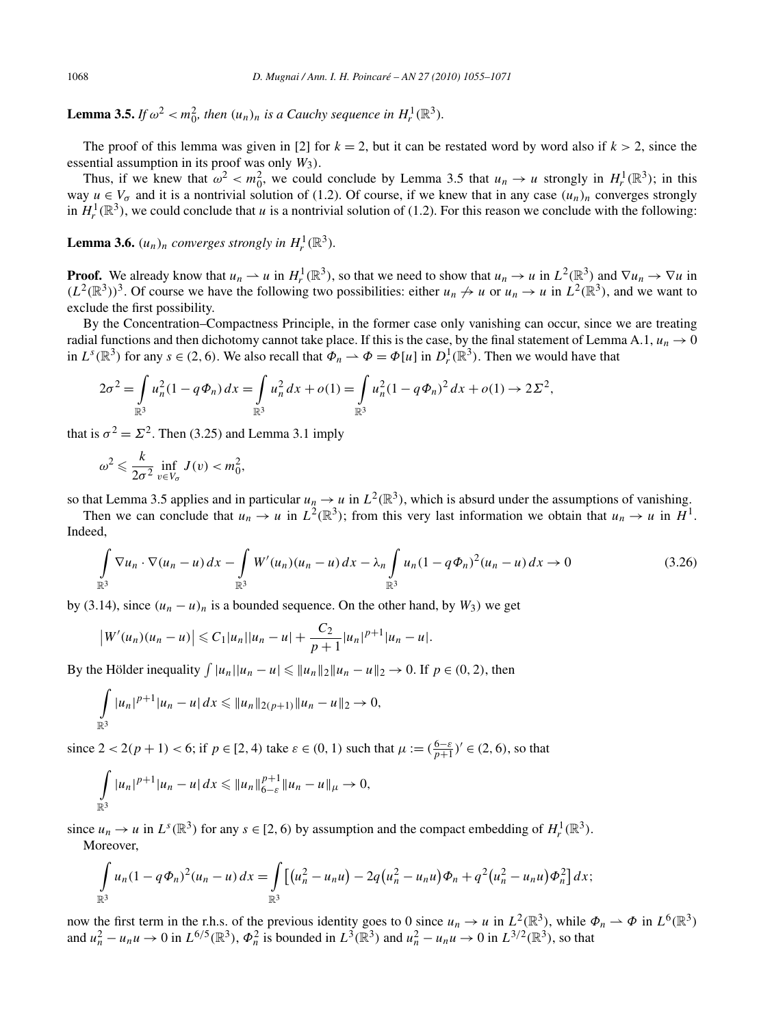**Lemma 3.5.** *If*  $\omega^2 < m_0^2$ , then  $(u_n)_n$  *is a Cauchy sequence in*  $H_r^1(\mathbb{R}^3)$ *.* 

The proof of this lemma was given in [2] for  $k = 2$ , but it can be restated word by word also if  $k > 2$ , since the essential assumption in its proof was only *W*3*)*.

Thus, if we knew that  $\omega^2 < m_0^2$ , we could conclude by Lemma 3.5 that  $u_n \to u$  strongly in  $H_r^1(\mathbb{R}^3)$ ; in this way  $u \in V_{\sigma}$  and it is a nontrivial solution of (1.2). Of course, if we knew that in any case  $(u_n)_n$  converges strongly in  $H_r^1(\mathbb{R}^3)$ , we could conclude that *u* is a nontrivial solution of (1.2). For this reason we conclude with the following:

**Lemma 3.6.**  $(u_n)_n$  *converges strongly in*  $H_r^1(\mathbb{R}^3)$ *.* 

**Proof.** We already know that  $u_n \rightharpoonup u$  in  $H_r^1(\mathbb{R}^3)$ , so that we need to show that  $u_n \rightharpoonup u$  in  $L^2(\mathbb{R}^3)$  and  $\nabla u_n \rightharpoonup \nabla u$  in  $(L^2(\mathbb{R}^3))^3$ . Of course we have the following two possibilities: either  $u_n \nrightarrow u$  or  $u_n \rightarrow u$  in  $\mathring{L}^2(\mathbb{R}^3)$ , and we want to exclude the first possibility.

By the Concentration–Compactness Principle, in the former case only vanishing can occur, since we are treating radial functions and then dichotomy cannot take place. If this is the case, by the final statement of Lemma A.1,  $u_n \to 0$ in  $L^{s}(\mathbb{R}^{3})$  for any  $s \in (2, 6)$ . We also recall that  $\Phi_{n} \to \Phi = \Phi[u]$  in  $D_{r}^{1}(\mathbb{R}^{3})$ . Then we would have that

$$
2\sigma^2 = \int_{\mathbb{R}^3} u_n^2 (1 - q\Phi_n) \, dx = \int_{\mathbb{R}^3} u_n^2 \, dx + o(1) = \int_{\mathbb{R}^3} u_n^2 (1 - q\Phi_n)^2 \, dx + o(1) \to 2\Sigma^2,
$$

that is  $\sigma^2 = \Sigma^2$ . Then (3.25) and Lemma 3.1 imply

$$
\omega^2 \leq \frac{k}{2\sigma^2} \inf_{v \in V_{\sigma}} J(v) < m_0^2,
$$

so that Lemma 3.5 applies and in particular  $u_n \to u$  in  $L^2(\mathbb{R}^3)$ , which is absurd under the assumptions of vanishing.

Then we can conclude that  $u_n \to u$  in  $L^2(\mathbb{R}^3)$ ; from this very last information we obtain that  $u_n \to u$  in  $H^1$ . Indeed,

$$
\int_{\mathbb{R}^3} \nabla u_n \cdot \nabla (u_n - u) \, dx - \int_{\mathbb{R}^3} W'(u_n)(u_n - u) \, dx - \lambda_n \int_{\mathbb{R}^3} u_n (1 - q \Phi_n)^2 (u_n - u) \, dx \to 0 \tag{3.26}
$$

by (3.14), since  $(u_n - u)_n$  is a bounded sequence. On the other hand, by  $W_3$ ) we get

$$
|W'(u_n)(u_n-u)| \leq C_1|u_n||u_n-u| + \frac{C_2}{p+1}|u_n|^{p+1}|u_n-u|.
$$

By the Hölder inequality  $\int |u_n||u_n - u| \le ||u_n||_2 ||u_n - u||_2 \to 0$ . If  $p \in (0, 2)$ , then

$$
\int_{\mathbb{R}^3} |u_n|^{p+1} |u_n - u| dx \leq \|u_n\|_{2(p+1)} \|u_n - u\|_2 \to 0,
$$

since  $2 < 2(p + 1) < 6$ ; if  $p \in [2, 4)$  take  $\varepsilon \in (0, 1)$  such that  $\mu := (\frac{6-\varepsilon}{n+1})' \in (2, 6)$ , so that

$$
\int_{\mathbb{R}^3} |u_n|^{p+1} |u_n - u| dx \leq \|u_n\|_{6-\varepsilon}^{p+1} \|u_n - u\|_{\mu} \to 0,
$$

since  $u_n \to u$  in  $L^s(\mathbb{R}^3)$  for any  $s \in [2, 6)$  by assumption and the compact embedding of  $H_r^1(\mathbb{R}^3)$ . Moreover,

$$
\int_{\mathbb{R}^3} u_n (1 - q \Phi_n)^2 (u_n - u) \, dx = \int_{\mathbb{R}^3} \left[ \left( u_n^2 - u_n u \right) - 2 q \left( u_n^2 - u_n u \right) \Phi_n + q^2 \left( u_n^2 - u_n u \right) \Phi_n^2 \right] dx;
$$

now the first term in the r.h.s. of the previous identity goes to 0 since  $u_n \to u$  in  $L^2(\mathbb{R}^3)$ , while  $\Phi_n \to \Phi$  in  $L^6(\mathbb{R}^3)$ and  $u_n^2 - u_n u \to 0$  in  $L^{6/5}(\mathbb{R}^3)$ ,  $\Phi_n^2$  is bounded in  $L^3(\mathbb{R}^3)$  and  $u_n^2 - u_n u \to 0$  in  $L^{3/2}(\mathbb{R}^3)$ , so that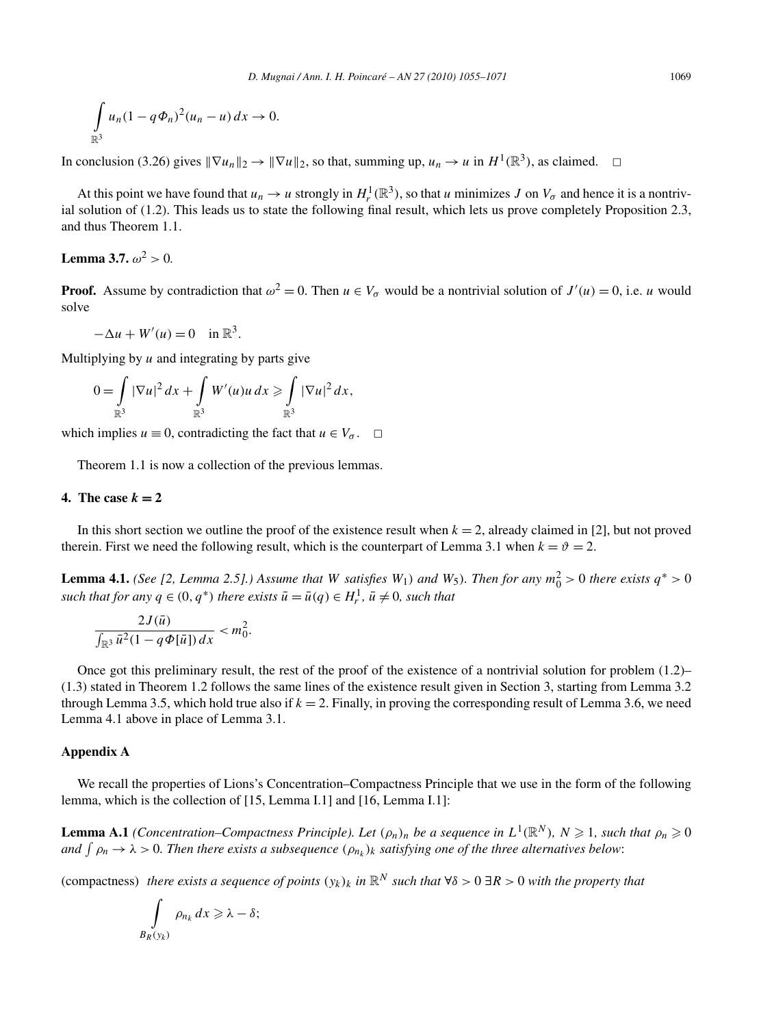$$
\int_{\mathbb{R}^3} u_n (1 - q \Phi_n)^2 (u_n - u) dx \to 0.
$$

In conclusion (3.26) gives  $\|\nabla u_n\|_2 \to \|\nabla u\|_2$ , so that, summing up,  $u_n \to u$  in  $H^1(\mathbb{R}^3)$ , as claimed.  $\Box$ 

At this point we have found that  $u_n \to u$  strongly in  $H_r^1(\mathbb{R}^3)$ , so that *u* minimizes *J* on  $V_\sigma$  and hence it is a nontrivial solution of (1.2). This leads us to state the following final result, which lets us prove completely Proposition 2.3, and thus Theorem 1.1.

# **Lemma 3.7.**  $\omega^2 > 0$ .

**Proof.** Assume by contradiction that  $\omega^2 = 0$ . Then  $u \in V_\sigma$  would be a nontrivial solution of  $J'(u) = 0$ , i.e. *u* would solve

$$
-\Delta u + W'(u) = 0 \quad \text{in } \mathbb{R}^3.
$$

Multiplying by *u* and integrating by parts give

$$
0 = \int_{\mathbb{R}^3} |\nabla u|^2 dx + \int_{\mathbb{R}^3} W'(u)u dx \geqslant \int_{\mathbb{R}^3} |\nabla u|^2 dx,
$$

which implies  $u \equiv 0$ , contradicting the fact that  $u \in V_{\sigma}$ .  $\Box$ 

Theorem 1.1 is now a collection of the previous lemmas.

# **4.** The case  $k = 2$

In this short section we outline the proof of the existence result when  $k = 2$ , already claimed in [2], but not proved therein. First we need the following result, which is the counterpart of Lemma 3.1 when  $k = \vartheta = 2$ .

**Lemma 4.1.** *(See [2, Lemma 2.5].) Assume that W satisfies W*<sub>1</sub>) *and W*<sub>5</sub>)*. Then for any*  $m_0^2 > 0$  *there exists*  $q^* > 0$ *such that for any*  $q \in (0, q^*)$  *there exists*  $\bar{u} = \bar{u}(q) \in H_r^1$ ,  $\bar{u} \neq 0$ *, such that* 

$$
\frac{2J(\bar{u})}{\int_{\mathbb{R}^3} \bar{u}^2(1-q\Phi[\bar{u}])dx} < m_0^2.
$$

Once got this preliminary result, the rest of the proof of the existence of a nontrivial solution for problem (1.2)– (1.3) stated in Theorem 1.2 follows the same lines of the existence result given in Section 3, starting from Lemma 3.2 through Lemma 3.5, which hold true also if  $k = 2$ . Finally, in proving the corresponding result of Lemma 3.6, we need Lemma 4.1 above in place of Lemma 3.1.

## **Appendix A**

We recall the properties of Lions's Concentration–Compactness Principle that we use in the form of the following lemma, which is the collection of [15, Lemma I.1] and [16, Lemma I.1]:

**Lemma A.1** *(Concentration–Compactness Principle). Let*  $(\rho_n)_n$  *be a sequence in*  $L^1(\mathbb{R}^N)$ ,  $N \geq 1$ , such that  $\rho_n \geq 0$ and  $\int \rho_n \to \lambda > 0$ . Then there exists a subsequence  $(\rho_{n_k})_k$  satisfying one of the three alternatives below:

(compactness) *there exists a sequence of points*  $(y_k)_k$  *in*  $\mathbb{R}^N$  *such that*  $\forall \delta > 0 \ \exists R > 0$  *with the property that* 

$$
\int\limits_{B_R(y_k)}\rho_{n_k}\,dx\geqslant\lambda-\delta;
$$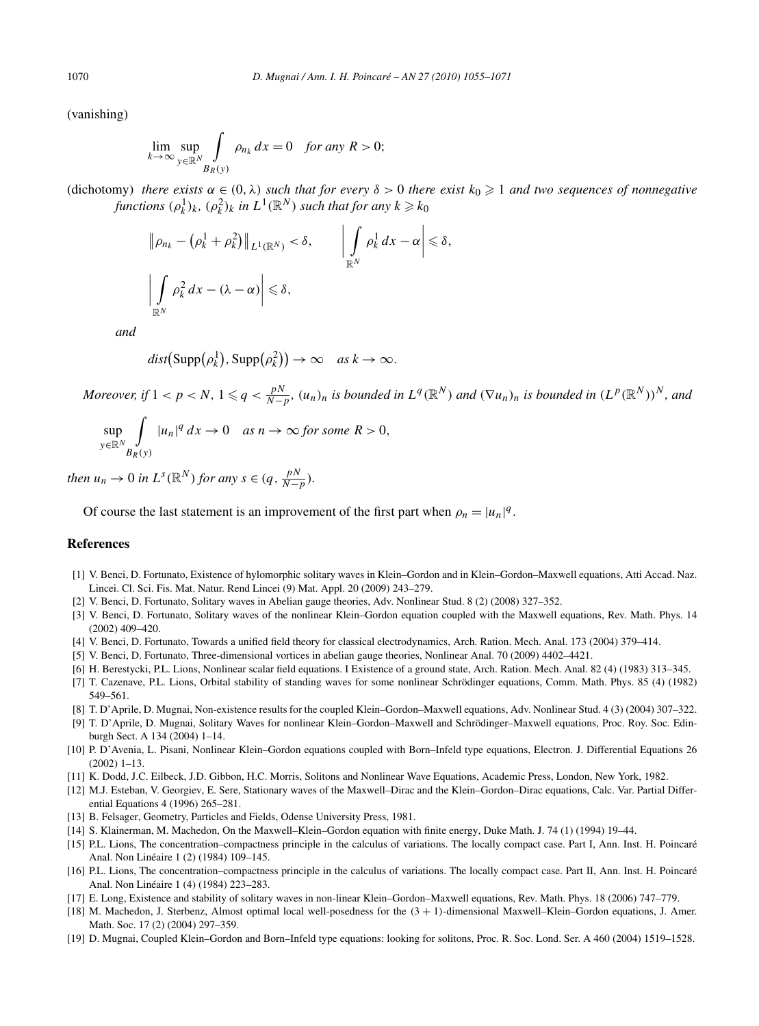(vanishing)

$$
\lim_{k \to \infty} \sup_{y \in \mathbb{R}^N} \int_{B_R(y)} \rho_{n_k} dx = 0 \quad \text{for any } R > 0;
$$

(dichotomy) *there exists*  $\alpha \in (0, \lambda)$  *such that for every*  $\delta > 0$  *there exist*  $k_0 \ge 1$  *and two sequences of nonnegative functions*  $(\rho_k^1)_k$ ,  $(\rho_k^2)_k$  *in*  $L^1(\mathbb{R}^N)$  *such that for any*  $k \geq k_0$ 

$$
\|\rho_{n_k} - (\rho_k^1 + \rho_k^2)\|_{L^1(\mathbb{R}^N)} < \delta, \qquad \left|\int_{\mathbb{R}^N} \rho_k^1 dx - \alpha\right| \leq \delta,
$$
  

$$
\left|\int_{\mathbb{R}^N} \rho_k^2 dx - (\lambda - \alpha)\right| \leq \delta,
$$

*and*

$$
dist(\mathrm{Supp}(\rho_k^1), \mathrm{Supp}(\rho_k^2)) \to \infty \quad as \ k \to \infty.
$$

Moreover, if  $1 < p < N$ ,  $1 \leqslant q < \frac{pN}{N-p}$ ,  $(u_n)_n$  is bounded in  $L^q(\mathbb{R}^N)$  and  $(\nabla u_n)_n$  is bounded in  $(L^p(\mathbb{R}^N))^N$ , and

$$
\sup_{y \in \mathbb{R}^N} \int_{B_R(y)} |u_n|^q \, dx \to 0 \quad \text{as } n \to \infty \text{ for some } R > 0,
$$

*then*  $u_n \to 0$  *in*  $L^s(\mathbb{R}^N)$  *for any*  $s \in (q, \frac{pN}{N-p})$ *.* 

Of course the last statement is an improvement of the first part when  $\rho_n = |u_n|^q$ .

#### **References**

- [1] V. Benci, D. Fortunato, Existence of hylomorphic solitary waves in Klein–Gordon and in Klein–Gordon–Maxwell equations, Atti Accad. Naz. Lincei. Cl. Sci. Fis. Mat. Natur. Rend Lincei (9) Mat. Appl. 20 (2009) 243–279.
- [2] V. Benci, D. Fortunato, Solitary waves in Abelian gauge theories, Adv. Nonlinear Stud. 8 (2) (2008) 327–352.
- [3] V. Benci, D. Fortunato, Solitary waves of the nonlinear Klein–Gordon equation coupled with the Maxwell equations, Rev. Math. Phys. 14 (2002) 409–420.
- [4] V. Benci, D. Fortunato, Towards a unified field theory for classical electrodynamics, Arch. Ration. Mech. Anal. 173 (2004) 379–414.
- [5] V. Benci, D. Fortunato, Three-dimensional vortices in abelian gauge theories, Nonlinear Anal. 70 (2009) 4402–4421.
- [6] H. Berestycki, P.L. Lions, Nonlinear scalar field equations. I Existence of a ground state, Arch. Ration. Mech. Anal. 82 (4) (1983) 313–345.
- [7] T. Cazenave, P.L. Lions, Orbital stability of standing waves for some nonlinear Schrödinger equations, Comm. Math. Phys. 85 (4) (1982) 549–561.
- [8] T. D'Aprile, D. Mugnai, Non-existence results for the coupled Klein–Gordon–Maxwell equations, Adv. Nonlinear Stud. 4 (3) (2004) 307–322.
- [9] T. D'Aprile, D. Mugnai, Solitary Waves for nonlinear Klein–Gordon–Maxwell and Schrödinger–Maxwell equations, Proc. Roy. Soc. Edinburgh Sect. A 134 (2004) 1–14.
- [10] P. D'Avenia, L. Pisani, Nonlinear Klein–Gordon equations coupled with Born–Infeld type equations, Electron. J. Differential Equations 26 (2002) 1–13.
- [11] K. Dodd, J.C. Eilbeck, J.D. Gibbon, H.C. Morris, Solitons and Nonlinear Wave Equations, Academic Press, London, New York, 1982.
- [12] M.J. Esteban, V. Georgiev, E. Sere, Stationary waves of the Maxwell–Dirac and the Klein–Gordon–Dirac equations, Calc. Var. Partial Differential Equations 4 (1996) 265–281.
- [13] B. Felsager, Geometry, Particles and Fields, Odense University Press, 1981.
- [14] S. Klainerman, M. Machedon, On the Maxwell–Klein–Gordon equation with finite energy, Duke Math. J. 74 (1) (1994) 19–44.
- [15] P.L. Lions, The concentration–compactness principle in the calculus of variations. The locally compact case. Part I, Ann. Inst. H. Poincaré Anal. Non Linéaire 1 (2) (1984) 109–145.
- [16] P.L. Lions, The concentration–compactness principle in the calculus of variations. The locally compact case. Part II, Ann. Inst. H. Poincaré Anal. Non Linéaire 1 (4) (1984) 223–283.
- [17] E. Long, Existence and stability of solitary waves in non-linear Klein–Gordon–Maxwell equations, Rev. Math. Phys. 18 (2006) 747–779.
- [18] M. Machedon, J. Sterbenz, Almost optimal local well-posedness for the *(*3 + 1*)*-dimensional Maxwell–Klein–Gordon equations, J. Amer. Math. Soc. 17 (2) (2004) 297–359.
- [19] D. Mugnai, Coupled Klein–Gordon and Born–Infeld type equations: looking for solitons, Proc. R. Soc. Lond. Ser. A 460 (2004) 1519–1528.